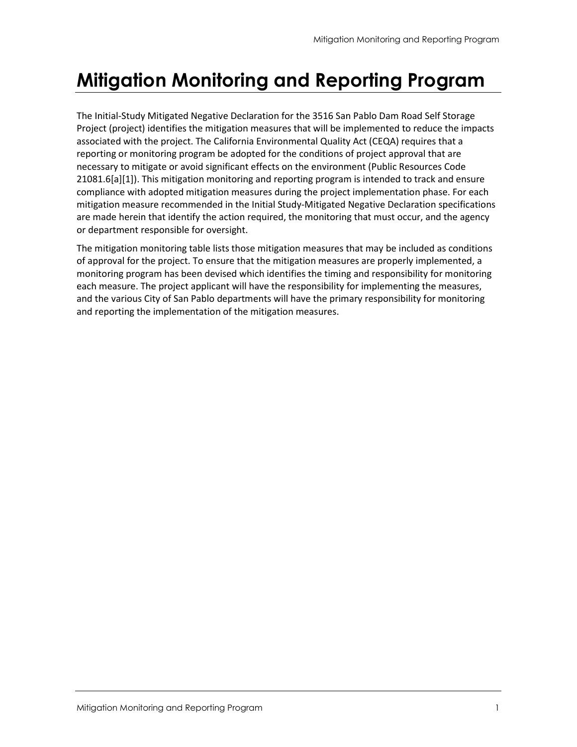# Mitigation Monitoring and Reporting Program

The Initial-Study Mitigated Negative Declaration for the 3516 San Pablo Dam Road Self Storage Project (project) identifies the mitigation measures that will be implemented to reduce the impacts associated with the project. The California Environmental Quality Act (CEQA) requires that a reporting or monitoring program be adopted for the conditions of project approval that are necessary to mitigate or avoid significant effects on the environment (Public Resources Code 21081.6[a][1]). This mitigation monitoring and reporting program is intended to track and ensure compliance with adopted mitigation measures during the project implementation phase. For each mitigation measure recommended in the Initial Study-Mitigated Negative Declaration specifications are made herein that identify the action required, the monitoring that must occur, and the agency or department responsible for oversight.

The mitigation monitoring table lists those mitigation measures that may be included as conditions of approval for the project. To ensure that the mitigation measures are properly implemented, a monitoring program has been devised which identifies the timing and responsibility for monitoring each measure. The project applicant will have the responsibility for implementing the measures, and the various City of San Pablo departments will have the primary responsibility for monitoring and reporting the implementation of the mitigation measures.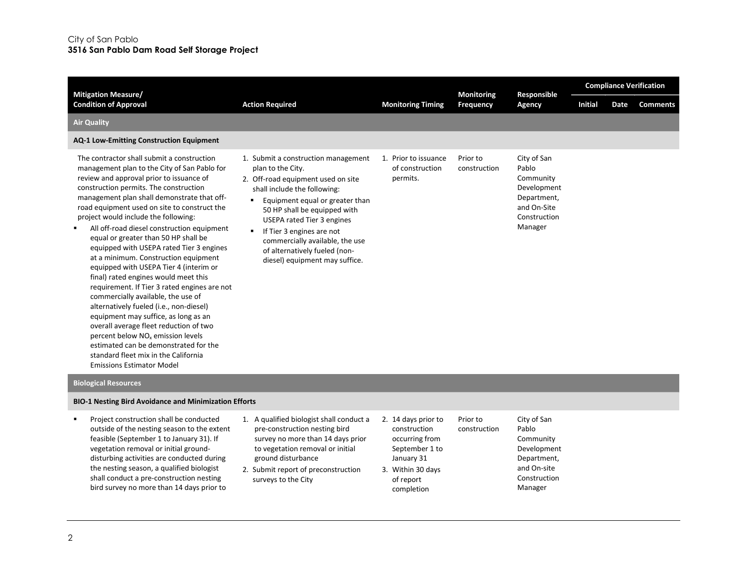| <b>Mitigation Measure/</b>                                                                                                                                                                                                                                                                                                                                                                                                                                                                                                                                                                                                                                                                                                                                                                                                                                                                                                                                                   |                                                                                                                                                                                                                                                                                                                                                                                                  |                                                       | <b>Monitoring</b>        | Responsible                                                                                               |                |      | <b>Compliance Verification</b> |
|------------------------------------------------------------------------------------------------------------------------------------------------------------------------------------------------------------------------------------------------------------------------------------------------------------------------------------------------------------------------------------------------------------------------------------------------------------------------------------------------------------------------------------------------------------------------------------------------------------------------------------------------------------------------------------------------------------------------------------------------------------------------------------------------------------------------------------------------------------------------------------------------------------------------------------------------------------------------------|--------------------------------------------------------------------------------------------------------------------------------------------------------------------------------------------------------------------------------------------------------------------------------------------------------------------------------------------------------------------------------------------------|-------------------------------------------------------|--------------------------|-----------------------------------------------------------------------------------------------------------|----------------|------|--------------------------------|
| <b>Condition of Approval</b>                                                                                                                                                                                                                                                                                                                                                                                                                                                                                                                                                                                                                                                                                                                                                                                                                                                                                                                                                 | <b>Action Required</b>                                                                                                                                                                                                                                                                                                                                                                           | <b>Monitoring Timing</b>                              | Frequency                | Agency                                                                                                    | <b>Initial</b> | Date | <b>Comments</b>                |
| <b>Air Quality</b>                                                                                                                                                                                                                                                                                                                                                                                                                                                                                                                                                                                                                                                                                                                                                                                                                                                                                                                                                           |                                                                                                                                                                                                                                                                                                                                                                                                  |                                                       |                          |                                                                                                           |                |      |                                |
| <b>AQ-1 Low-Emitting Construction Equipment</b>                                                                                                                                                                                                                                                                                                                                                                                                                                                                                                                                                                                                                                                                                                                                                                                                                                                                                                                              |                                                                                                                                                                                                                                                                                                                                                                                                  |                                                       |                          |                                                                                                           |                |      |                                |
| The contractor shall submit a construction<br>management plan to the City of San Pablo for<br>review and approval prior to issuance of<br>construction permits. The construction<br>management plan shall demonstrate that off-<br>road equipment used on site to construct the<br>project would include the following:<br>All off-road diesel construction equipment<br>equal or greater than 50 HP shall be<br>equipped with USEPA rated Tier 3 engines<br>at a minimum. Construction equipment<br>equipped with USEPA Tier 4 (interim or<br>final) rated engines would meet this<br>requirement. If Tier 3 rated engines are not<br>commercially available, the use of<br>alternatively fueled (i.e., non-diesel)<br>equipment may suffice, as long as an<br>overall average fleet reduction of two<br>percent below NO <sub>x</sub> emission levels<br>estimated can be demonstrated for the<br>standard fleet mix in the California<br><b>Emissions Estimator Model</b> | 1. Submit a construction management<br>plan to the City.<br>2. Off-road equipment used on site<br>shall include the following:<br>Equipment equal or greater than<br>٠<br>50 HP shall be equipped with<br><b>USEPA rated Tier 3 engines</b><br>If Tier 3 engines are not<br>$\blacksquare$<br>commercially available, the use<br>of alternatively fueled (non-<br>diesel) equipment may suffice. | 1. Prior to issuance<br>of construction<br>permits.   | Prior to<br>construction | City of San<br>Pablo<br>Community<br>Development<br>Department,<br>and On-Site<br>Construction<br>Manager |                |      |                                |
| <b>Biological Resources</b>                                                                                                                                                                                                                                                                                                                                                                                                                                                                                                                                                                                                                                                                                                                                                                                                                                                                                                                                                  |                                                                                                                                                                                                                                                                                                                                                                                                  |                                                       |                          |                                                                                                           |                |      |                                |
| <b>BIO-1 Nesting Bird Avoidance and Minimization Efforts</b>                                                                                                                                                                                                                                                                                                                                                                                                                                                                                                                                                                                                                                                                                                                                                                                                                                                                                                                 |                                                                                                                                                                                                                                                                                                                                                                                                  |                                                       |                          |                                                                                                           |                |      |                                |
| Project construction shall be conducted<br>outside of the nesting season to the extent<br>feasible (September 1 to January 31). If                                                                                                                                                                                                                                                                                                                                                                                                                                                                                                                                                                                                                                                                                                                                                                                                                                           | 1. A qualified biologist shall conduct a<br>pre-construction nesting bird<br>survey no more than 14 days prior                                                                                                                                                                                                                                                                                   | 2. 14 days prior to<br>construction<br>occurring from | Prior to<br>construction | City of San<br>Pablo<br>Community                                                                         |                |      |                                |

- vegetation removal or initial grounddisturbing activities are conducted during the nesting season, a qualified biologist shall conduct a pre-construction nesting bird survey no more than 14 days prior to
- to vegetation removal or initial ground disturbance
- 2. Submit report of preconstruction surveys to the City
- September 1 to January 31 3. Within 30 days of report

completion

Development Department, and On-site Construction Manager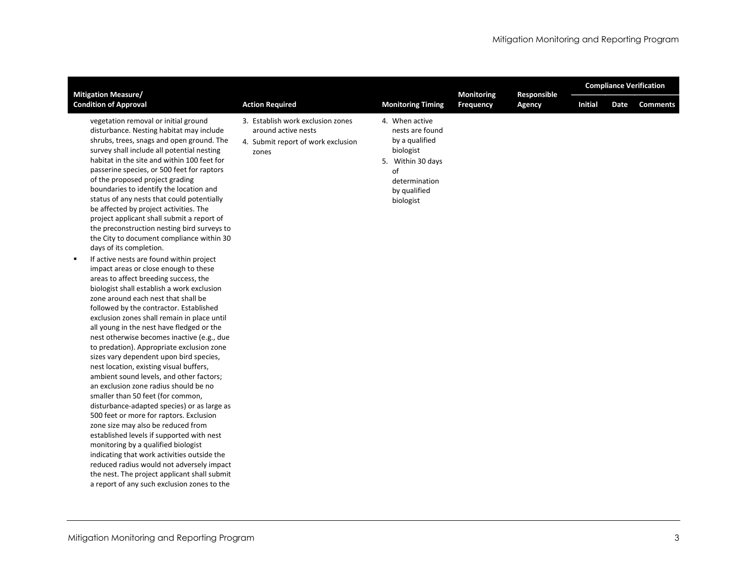| <b>Mitigation Measure/</b>                                                                                                                                                                                                                                                                                                                                                                                                                                                                                                                                                                                                                                                                                                                                                                                                                                                                                                                                                                                                                                                                                                                                                                                                                                                                                                                                                                                                                                                                                                                                                                                                                                                                              |                                                                                                         |                                                                                                                                           | <b>Monitoring</b> | Responsible |                |      | <b>Compliance Verification</b> |
|---------------------------------------------------------------------------------------------------------------------------------------------------------------------------------------------------------------------------------------------------------------------------------------------------------------------------------------------------------------------------------------------------------------------------------------------------------------------------------------------------------------------------------------------------------------------------------------------------------------------------------------------------------------------------------------------------------------------------------------------------------------------------------------------------------------------------------------------------------------------------------------------------------------------------------------------------------------------------------------------------------------------------------------------------------------------------------------------------------------------------------------------------------------------------------------------------------------------------------------------------------------------------------------------------------------------------------------------------------------------------------------------------------------------------------------------------------------------------------------------------------------------------------------------------------------------------------------------------------------------------------------------------------------------------------------------------------|---------------------------------------------------------------------------------------------------------|-------------------------------------------------------------------------------------------------------------------------------------------|-------------------|-------------|----------------|------|--------------------------------|
| <b>Condition of Approval</b>                                                                                                                                                                                                                                                                                                                                                                                                                                                                                                                                                                                                                                                                                                                                                                                                                                                                                                                                                                                                                                                                                                                                                                                                                                                                                                                                                                                                                                                                                                                                                                                                                                                                            | <b>Action Required</b>                                                                                  | <b>Monitoring Timing</b>                                                                                                                  | <b>Frequency</b>  | Agency      | <b>Initial</b> | Date | <b>Comments</b>                |
| vegetation removal or initial ground<br>disturbance. Nesting habitat may include<br>shrubs, trees, snags and open ground. The<br>survey shall include all potential nesting<br>habitat in the site and within 100 feet for<br>passerine species, or 500 feet for raptors<br>of the proposed project grading<br>boundaries to identify the location and<br>status of any nests that could potentially<br>be affected by project activities. The<br>project applicant shall submit a report of<br>the preconstruction nesting bird surveys to<br>the City to document compliance within 30<br>days of its completion.<br>If active nests are found within project<br>impact areas or close enough to these<br>areas to affect breeding success, the<br>biologist shall establish a work exclusion<br>zone around each nest that shall be<br>followed by the contractor. Established<br>exclusion zones shall remain in place until<br>all young in the nest have fledged or the<br>nest otherwise becomes inactive (e.g., due<br>to predation). Appropriate exclusion zone<br>sizes vary dependent upon bird species,<br>nest location, existing visual buffers,<br>ambient sound levels, and other factors;<br>an exclusion zone radius should be no<br>smaller than 50 feet (for common,<br>disturbance-adapted species) or as large as<br>500 feet or more for raptors. Exclusion<br>zone size may also be reduced from<br>established levels if supported with nest<br>monitoring by a qualified biologist<br>indicating that work activities outside the<br>reduced radius would not adversely impact<br>the nest. The project applicant shall submit<br>a report of any such exclusion zones to the | 3. Establish work exclusion zones<br>around active nests<br>4. Submit report of work exclusion<br>zones | 4. When active<br>nests are found<br>by a qualified<br>biologist<br>5. Within 30 days<br>of<br>determination<br>by qualified<br>biologist |                   |             |                |      |                                |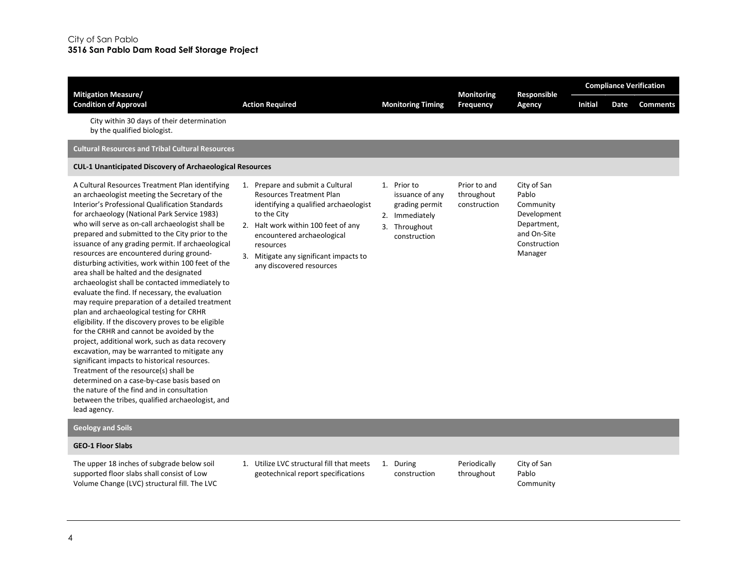| <b>Mitigation Measure/</b>                                                                                                                                                                                                                                                                                                                                                                                                                                                                                                                                                                                                                                                                                                                                                                                                                                                                                                                                                                                                                                                                                                                                                         |                                                                                                                                                                                                                                                                                  |                                                                                                     | <b>Monitoring</b>                          | Responsible                                                                                               | <b>Compliance Verification</b> |      |                 |  |  |
|------------------------------------------------------------------------------------------------------------------------------------------------------------------------------------------------------------------------------------------------------------------------------------------------------------------------------------------------------------------------------------------------------------------------------------------------------------------------------------------------------------------------------------------------------------------------------------------------------------------------------------------------------------------------------------------------------------------------------------------------------------------------------------------------------------------------------------------------------------------------------------------------------------------------------------------------------------------------------------------------------------------------------------------------------------------------------------------------------------------------------------------------------------------------------------|----------------------------------------------------------------------------------------------------------------------------------------------------------------------------------------------------------------------------------------------------------------------------------|-----------------------------------------------------------------------------------------------------|--------------------------------------------|-----------------------------------------------------------------------------------------------------------|--------------------------------|------|-----------------|--|--|
| <b>Condition of Approval</b>                                                                                                                                                                                                                                                                                                                                                                                                                                                                                                                                                                                                                                                                                                                                                                                                                                                                                                                                                                                                                                                                                                                                                       | <b>Action Required</b>                                                                                                                                                                                                                                                           | <b>Monitoring Timing</b>                                                                            | Frequency                                  | Agency                                                                                                    | <b>Initial</b>                 | Date | <b>Comments</b> |  |  |
| City within 30 days of their determination<br>by the qualified biologist.                                                                                                                                                                                                                                                                                                                                                                                                                                                                                                                                                                                                                                                                                                                                                                                                                                                                                                                                                                                                                                                                                                          |                                                                                                                                                                                                                                                                                  |                                                                                                     |                                            |                                                                                                           |                                |      |                 |  |  |
| <b>Cultural Resources and Tribal Cultural Resources</b>                                                                                                                                                                                                                                                                                                                                                                                                                                                                                                                                                                                                                                                                                                                                                                                                                                                                                                                                                                                                                                                                                                                            |                                                                                                                                                                                                                                                                                  |                                                                                                     |                                            |                                                                                                           |                                |      |                 |  |  |
| <b>CUL-1 Unanticipated Discovery of Archaeological Resources</b>                                                                                                                                                                                                                                                                                                                                                                                                                                                                                                                                                                                                                                                                                                                                                                                                                                                                                                                                                                                                                                                                                                                   |                                                                                                                                                                                                                                                                                  |                                                                                                     |                                            |                                                                                                           |                                |      |                 |  |  |
| A Cultural Resources Treatment Plan identifying<br>an archaeologist meeting the Secretary of the<br>Interior's Professional Qualification Standards<br>for archaeology (National Park Service 1983)<br>who will serve as on-call archaeologist shall be<br>prepared and submitted to the City prior to the<br>issuance of any grading permit. If archaeological<br>resources are encountered during ground-<br>disturbing activities, work within 100 feet of the<br>area shall be halted and the designated<br>archaeologist shall be contacted immediately to<br>evaluate the find. If necessary, the evaluation<br>may require preparation of a detailed treatment<br>plan and archaeological testing for CRHR<br>eligibility. If the discovery proves to be eligible<br>for the CRHR and cannot be avoided by the<br>project, additional work, such as data recovery<br>excavation, may be warranted to mitigate any<br>significant impacts to historical resources.<br>Treatment of the resource(s) shall be<br>determined on a case-by-case basis based on<br>the nature of the find and in consultation<br>between the tribes, qualified archaeologist, and<br>lead agency. | 1. Prepare and submit a Cultural<br><b>Resources Treatment Plan</b><br>identifying a qualified archaeologist<br>to the City<br>2. Halt work within 100 feet of any<br>encountered archaeological<br>resources<br>Mitigate any significant impacts to<br>any discovered resources | 1. Prior to<br>issuance of any<br>grading permit<br>2. Immediately<br>3. Throughout<br>construction | Prior to and<br>throughout<br>construction | City of San<br>Pablo<br>Community<br>Development<br>Department,<br>and On-Site<br>Construction<br>Manager |                                |      |                 |  |  |
| <b>Geology and Soils</b>                                                                                                                                                                                                                                                                                                                                                                                                                                                                                                                                                                                                                                                                                                                                                                                                                                                                                                                                                                                                                                                                                                                                                           |                                                                                                                                                                                                                                                                                  |                                                                                                     |                                            |                                                                                                           |                                |      |                 |  |  |

# GEO-1 Floor Slabs

The upper 18 inches of subgrade below soil supported floor slabs shall consist of Low Volume Change (LVC) structural fill. The LVC 1. Utilize LVC structural fill that meets geotechnical report specifications

1. During construction Periodically throughout

City of San Pablo Community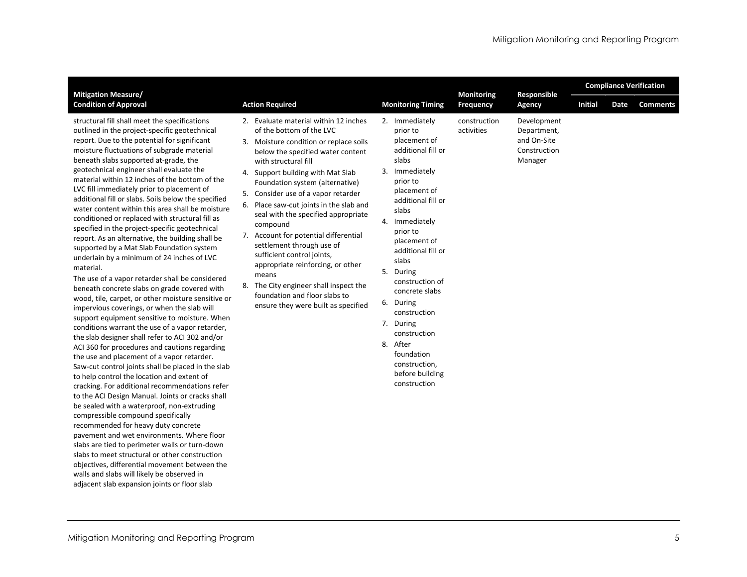|                                                                                                                                                                                                                                                                                                                                                                                                                                                                                                                                                                                                                                                                                                                                                                                                                                                                                                                                                                                                                                                                                                                                                                                                                                                                                                                                                                                                                                                                                                                                                                  |                                                                                                                                                                                                                                                                                                                                                                                                                                                                                                                                                                                                                                                                 |                                                                                                                                                                                                                                                                                                                                                                                                                               |                            | <b>Monitoring</b><br>Responsible                                     |         |      | <b>Compliance Verification</b> |  |  |  |  |  |
|------------------------------------------------------------------------------------------------------------------------------------------------------------------------------------------------------------------------------------------------------------------------------------------------------------------------------------------------------------------------------------------------------------------------------------------------------------------------------------------------------------------------------------------------------------------------------------------------------------------------------------------------------------------------------------------------------------------------------------------------------------------------------------------------------------------------------------------------------------------------------------------------------------------------------------------------------------------------------------------------------------------------------------------------------------------------------------------------------------------------------------------------------------------------------------------------------------------------------------------------------------------------------------------------------------------------------------------------------------------------------------------------------------------------------------------------------------------------------------------------------------------------------------------------------------------|-----------------------------------------------------------------------------------------------------------------------------------------------------------------------------------------------------------------------------------------------------------------------------------------------------------------------------------------------------------------------------------------------------------------------------------------------------------------------------------------------------------------------------------------------------------------------------------------------------------------------------------------------------------------|-------------------------------------------------------------------------------------------------------------------------------------------------------------------------------------------------------------------------------------------------------------------------------------------------------------------------------------------------------------------------------------------------------------------------------|----------------------------|----------------------------------------------------------------------|---------|------|--------------------------------|--|--|--|--|--|
| <b>Mitigation Measure/</b><br><b>Condition of Approval</b>                                                                                                                                                                                                                                                                                                                                                                                                                                                                                                                                                                                                                                                                                                                                                                                                                                                                                                                                                                                                                                                                                                                                                                                                                                                                                                                                                                                                                                                                                                       | <b>Action Required</b>                                                                                                                                                                                                                                                                                                                                                                                                                                                                                                                                                                                                                                          | <b>Monitoring Timing</b>                                                                                                                                                                                                                                                                                                                                                                                                      | Frequency                  | Agency                                                               | Initial | Date | <b>Comments</b>                |  |  |  |  |  |
| structural fill shall meet the specifications<br>outlined in the project-specific geotechnical<br>report. Due to the potential for significant<br>moisture fluctuations of subgrade material<br>beneath slabs supported at-grade, the<br>geotechnical engineer shall evaluate the<br>material within 12 inches of the bottom of the<br>LVC fill immediately prior to placement of<br>additional fill or slabs. Soils below the specified<br>water content within this area shall be moisture<br>conditioned or replaced with structural fill as<br>specified in the project-specific geotechnical<br>report. As an alternative, the building shall be<br>supported by a Mat Slab Foundation system<br>underlain by a minimum of 24 inches of LVC<br>material.<br>The use of a vapor retarder shall be considered<br>beneath concrete slabs on grade covered with<br>wood, tile, carpet, or other moisture sensitive or<br>impervious coverings, or when the slab will<br>support equipment sensitive to moisture. When<br>conditions warrant the use of a vapor retarder,<br>the slab designer shall refer to ACI 302 and/or<br>ACI 360 for procedures and cautions regarding<br>the use and placement of a vapor retarder.<br>Saw-cut control joints shall be placed in the slab<br>to help control the location and extent of<br>cracking. For additional recommendations refer<br>to the ACI Design Manual. Joints or cracks shall<br>be sealed with a waterproof, non-extruding<br>compressible compound specifically<br>recommended for heavy duty concrete | 2. Evaluate material within 12 inches<br>of the bottom of the LVC<br>3. Moisture condition or replace soils<br>below the specified water content<br>with structural fill<br>Support building with Mat Slab<br>4.<br>Foundation system (alternative)<br>Consider use of a vapor retarder<br>5.<br>6. Place saw-cut joints in the slab and<br>seal with the specified appropriate<br>compound<br>7. Account for potential differential<br>settlement through use of<br>sufficient control joints,<br>appropriate reinforcing, or other<br>means<br>8. The City engineer shall inspect the<br>foundation and floor slabs to<br>ensure they were built as specified | 2. Immediately<br>prior to<br>placement of<br>additional fill or<br>slabs<br>3. Immediately<br>prior to<br>placement of<br>additional fill or<br>slabs<br>4. Immediately<br>prior to<br>placement of<br>additional fill or<br>slabs<br>5. During<br>construction of<br>concrete slabs<br>6. During<br>construction<br>7. During<br>construction<br>8. After<br>foundation<br>construction,<br>before building<br>construction | construction<br>activities | Development<br>Department,<br>and On-Site<br>Construction<br>Manager |         |      |                                |  |  |  |  |  |

pavement and wet environments. Where floor slabs are tied to perimeter walls or turn-down slabs to meet structural or other construction objectives, differential movement between the walls and slabs will likely be observed in adjacent slab expansion joints or floor slab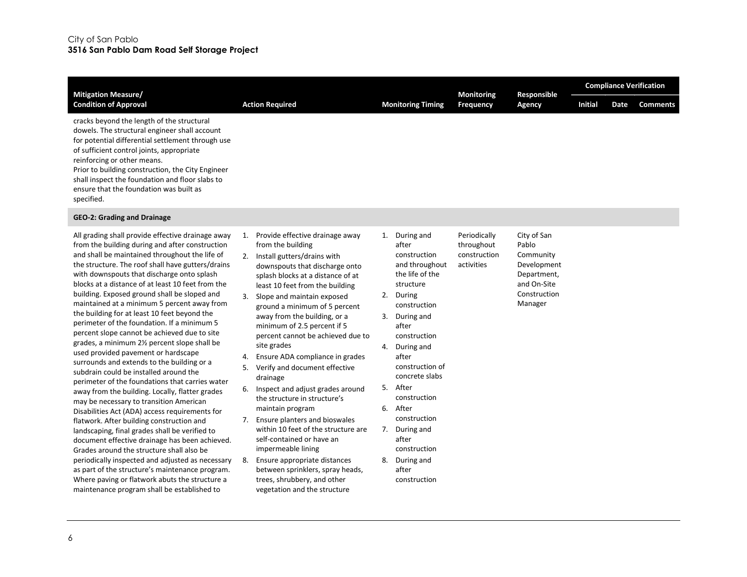| <b>Mitigation Measure/</b>                                                                                                                                                                                                                                                                                                                                                                                                                                                                                                                                                                                                                                                                                                                                                                                                                                                                                                                                                                                                                                                                                                                                                                                                                                                                                                                          |                                                                                                                                                                                                                                                                                                                                                                                                                                                                                                                                                                                                                                                                                                                                                                                                                                                        |                                                                                                                                                                                                                                                                                                                                                                            | <b>Monitoring</b>                                        | Responsible                                                                                               |                |      |                 | <b>Compliance Verification</b> |
|-----------------------------------------------------------------------------------------------------------------------------------------------------------------------------------------------------------------------------------------------------------------------------------------------------------------------------------------------------------------------------------------------------------------------------------------------------------------------------------------------------------------------------------------------------------------------------------------------------------------------------------------------------------------------------------------------------------------------------------------------------------------------------------------------------------------------------------------------------------------------------------------------------------------------------------------------------------------------------------------------------------------------------------------------------------------------------------------------------------------------------------------------------------------------------------------------------------------------------------------------------------------------------------------------------------------------------------------------------|--------------------------------------------------------------------------------------------------------------------------------------------------------------------------------------------------------------------------------------------------------------------------------------------------------------------------------------------------------------------------------------------------------------------------------------------------------------------------------------------------------------------------------------------------------------------------------------------------------------------------------------------------------------------------------------------------------------------------------------------------------------------------------------------------------------------------------------------------------|----------------------------------------------------------------------------------------------------------------------------------------------------------------------------------------------------------------------------------------------------------------------------------------------------------------------------------------------------------------------------|----------------------------------------------------------|-----------------------------------------------------------------------------------------------------------|----------------|------|-----------------|--------------------------------|
| <b>Condition of Approval</b>                                                                                                                                                                                                                                                                                                                                                                                                                                                                                                                                                                                                                                                                                                                                                                                                                                                                                                                                                                                                                                                                                                                                                                                                                                                                                                                        | <b>Action Required</b>                                                                                                                                                                                                                                                                                                                                                                                                                                                                                                                                                                                                                                                                                                                                                                                                                                 | <b>Monitoring Timing</b>                                                                                                                                                                                                                                                                                                                                                   | <b>Frequency</b>                                         | Agency                                                                                                    | <b>Initial</b> | Date | <b>Comments</b> |                                |
| cracks beyond the length of the structural<br>dowels. The structural engineer shall account<br>for potential differential settlement through use<br>of sufficient control joints, appropriate<br>reinforcing or other means.<br>Prior to building construction, the City Engineer<br>shall inspect the foundation and floor slabs to<br>ensure that the foundation was built as<br>specified.                                                                                                                                                                                                                                                                                                                                                                                                                                                                                                                                                                                                                                                                                                                                                                                                                                                                                                                                                       |                                                                                                                                                                                                                                                                                                                                                                                                                                                                                                                                                                                                                                                                                                                                                                                                                                                        |                                                                                                                                                                                                                                                                                                                                                                            |                                                          |                                                                                                           |                |      |                 |                                |
| <b>GEO-2: Grading and Drainage</b>                                                                                                                                                                                                                                                                                                                                                                                                                                                                                                                                                                                                                                                                                                                                                                                                                                                                                                                                                                                                                                                                                                                                                                                                                                                                                                                  |                                                                                                                                                                                                                                                                                                                                                                                                                                                                                                                                                                                                                                                                                                                                                                                                                                                        |                                                                                                                                                                                                                                                                                                                                                                            |                                                          |                                                                                                           |                |      |                 |                                |
| All grading shall provide effective drainage away<br>from the building during and after construction<br>and shall be maintained throughout the life of<br>the structure. The roof shall have gutters/drains<br>with downspouts that discharge onto splash<br>blocks at a distance of at least 10 feet from the<br>building. Exposed ground shall be sloped and<br>maintained at a minimum 5 percent away from<br>the building for at least 10 feet beyond the<br>perimeter of the foundation. If a minimum 5<br>percent slope cannot be achieved due to site<br>grades, a minimum 2½ percent slope shall be<br>used provided pavement or hardscape<br>surrounds and extends to the building or a<br>subdrain could be installed around the<br>perimeter of the foundations that carries water<br>away from the building. Locally, flatter grades<br>may be necessary to transition American<br>Disabilities Act (ADA) access requirements for<br>flatwork. After building construction and<br>landscaping, final grades shall be verified to<br>document effective drainage has been achieved.<br>Grades around the structure shall also be<br>periodically inspected and adjusted as necessary<br>as part of the structure's maintenance program.<br>Where paving or flatwork abuts the structure a<br>maintenance program shall be established to | 1. Provide effective drainage away<br>from the building<br>2. Install gutters/drains with<br>downspouts that discharge onto<br>splash blocks at a distance of at<br>least 10 feet from the building<br>3. Slope and maintain exposed<br>ground a minimum of 5 percent<br>away from the building, or a<br>minimum of 2.5 percent if 5<br>percent cannot be achieved due to<br>site grades<br>Ensure ADA compliance in grades<br>4.<br>Verify and document effective<br>5.<br>drainage<br>6. Inspect and adjust grades around<br>the structure in structure's<br>maintain program<br>7. Ensure planters and bioswales<br>within 10 feet of the structure are<br>self-contained or have an<br>impermeable lining<br>8.<br>Ensure appropriate distances<br>between sprinklers, spray heads,<br>trees, shrubbery, and other<br>vegetation and the structure | 1. During and<br>after<br>construction<br>and throughout<br>the life of the<br>structure<br>2. During<br>construction<br>3. During and<br>after<br>construction<br>4. During and<br>after<br>construction of<br>concrete slabs<br>5. After<br>construction<br>6. After<br>construction<br>7. During and<br>after<br>construction<br>8. During and<br>after<br>construction | Periodically<br>throughout<br>construction<br>activities | City of San<br>Pablo<br>Community<br>Development<br>Department,<br>and On-Site<br>Construction<br>Manager |                |      |                 |                                |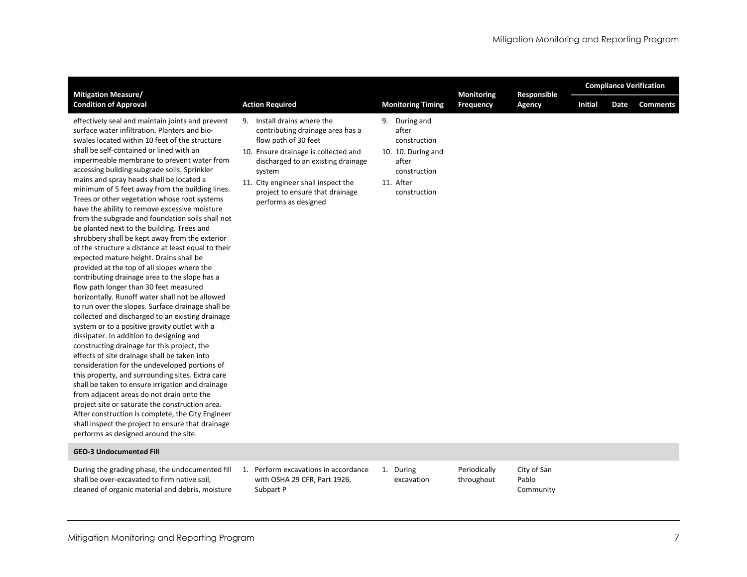| <b>Mitigation Measure/</b>                                                                                                                                                                                                                                                                                                                                                                                                                                                                                                                                                                                                                                                                                                                                                                                                                                                                                                                                                                                                                                                                                                                                                                                                                                                                                                                                                                                                                                                                                                                                                                                                                                        |    |                                                                                                                                                                                                                                                                                |                                                                                                                    | Monitoring                 | Responsible                       | <b>Compliance Verification</b> |      |                 |  |  |
|-------------------------------------------------------------------------------------------------------------------------------------------------------------------------------------------------------------------------------------------------------------------------------------------------------------------------------------------------------------------------------------------------------------------------------------------------------------------------------------------------------------------------------------------------------------------------------------------------------------------------------------------------------------------------------------------------------------------------------------------------------------------------------------------------------------------------------------------------------------------------------------------------------------------------------------------------------------------------------------------------------------------------------------------------------------------------------------------------------------------------------------------------------------------------------------------------------------------------------------------------------------------------------------------------------------------------------------------------------------------------------------------------------------------------------------------------------------------------------------------------------------------------------------------------------------------------------------------------------------------------------------------------------------------|----|--------------------------------------------------------------------------------------------------------------------------------------------------------------------------------------------------------------------------------------------------------------------------------|--------------------------------------------------------------------------------------------------------------------|----------------------------|-----------------------------------|--------------------------------|------|-----------------|--|--|
| <b>Condition of Approval</b>                                                                                                                                                                                                                                                                                                                                                                                                                                                                                                                                                                                                                                                                                                                                                                                                                                                                                                                                                                                                                                                                                                                                                                                                                                                                                                                                                                                                                                                                                                                                                                                                                                      |    | <b>Action Required</b>                                                                                                                                                                                                                                                         | <b>Monitoring Timing</b>                                                                                           | <b>Frequency</b>           | Agency                            | <b>Initial</b>                 | Date | <b>Comments</b> |  |  |
| effectively seal and maintain joints and prevent<br>surface water infiltration. Planters and bio-<br>swales located within 10 feet of the structure<br>shall be self-contained or lined with an<br>impermeable membrane to prevent water from<br>accessing building subgrade soils. Sprinkler<br>mains and spray heads shall be located a<br>minimum of 5 feet away from the building lines.<br>Trees or other vegetation whose root systems<br>have the ability to remove excessive moisture<br>from the subgrade and foundation soils shall not<br>be planted next to the building. Trees and<br>shrubbery shall be kept away from the exterior<br>of the structure a distance at least equal to their<br>expected mature height. Drains shall be<br>provided at the top of all slopes where the<br>contributing drainage area to the slope has a<br>flow path longer than 30 feet measured<br>horizontally. Runoff water shall not be allowed<br>to run over the slopes. Surface drainage shall be<br>collected and discharged to an existing drainage<br>system or to a positive gravity outlet with a<br>dissipater. In addition to designing and<br>constructing drainage for this project, the<br>effects of site drainage shall be taken into<br>consideration for the undeveloped portions of<br>this property, and surrounding sites. Extra care<br>shall be taken to ensure irrigation and drainage<br>from adjacent areas do not drain onto the<br>project site or saturate the construction area.<br>After construction is complete, the City Engineer<br>shall inspect the project to ensure that drainage<br>performs as designed around the site. | 9. | Install drains where the<br>contributing drainage area has a<br>flow path of 30 feet<br>10. Ensure drainage is collected and<br>discharged to an existing drainage<br>system<br>11. City engineer shall inspect the<br>project to ensure that drainage<br>performs as designed | 9. During and<br>after<br>construction<br>10. 10. During and<br>after<br>construction<br>11. After<br>construction |                            |                                   |                                |      |                 |  |  |
| <b>GEO-3 Undocumented Fill</b>                                                                                                                                                                                                                                                                                                                                                                                                                                                                                                                                                                                                                                                                                                                                                                                                                                                                                                                                                                                                                                                                                                                                                                                                                                                                                                                                                                                                                                                                                                                                                                                                                                    |    |                                                                                                                                                                                                                                                                                |                                                                                                                    |                            |                                   |                                |      |                 |  |  |
| During the grading phase, the undocumented fill<br>shall be over-excavated to firm native soil,<br>cleaned of organic material and debris, moisture                                                                                                                                                                                                                                                                                                                                                                                                                                                                                                                                                                                                                                                                                                                                                                                                                                                                                                                                                                                                                                                                                                                                                                                                                                                                                                                                                                                                                                                                                                               |    | 1. Perform excavations in accordance<br>with OSHA 29 CFR, Part 1926,<br>Subpart P                                                                                                                                                                                              | 1. During<br>excavation                                                                                            | Periodically<br>throughout | City of San<br>Pablo<br>Community |                                |      |                 |  |  |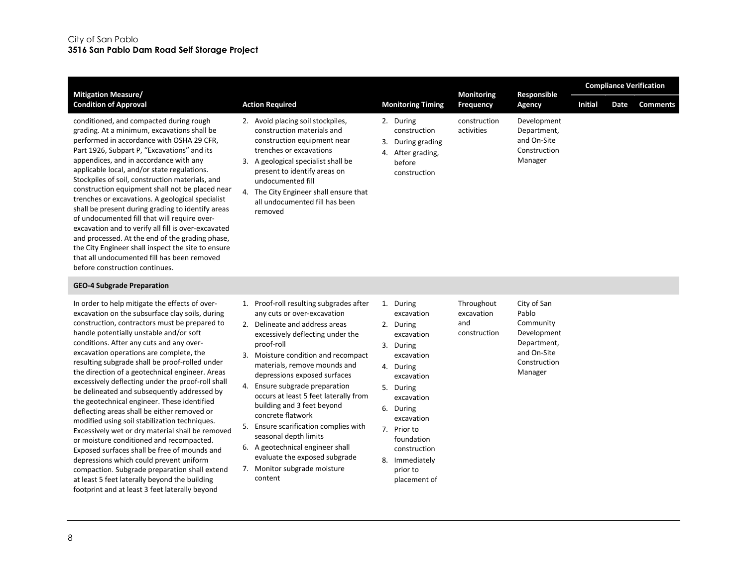| <b>Mitigation Measure/</b>                                                                                                                                                                                                                                                                                                                                                                                                                                                                                                                                                                                                                                                                                                                                                                                                                                                                                                                                                                  |                                                                                                                                                                                                                                                                                                                                                                                                                                                                                                                                                                                      |                                                                                                                                                                                                                                                           | <b>Monitoring</b>                               | Responsible                                                                                               |                |      | <b>Compliance Verification</b> |
|---------------------------------------------------------------------------------------------------------------------------------------------------------------------------------------------------------------------------------------------------------------------------------------------------------------------------------------------------------------------------------------------------------------------------------------------------------------------------------------------------------------------------------------------------------------------------------------------------------------------------------------------------------------------------------------------------------------------------------------------------------------------------------------------------------------------------------------------------------------------------------------------------------------------------------------------------------------------------------------------|--------------------------------------------------------------------------------------------------------------------------------------------------------------------------------------------------------------------------------------------------------------------------------------------------------------------------------------------------------------------------------------------------------------------------------------------------------------------------------------------------------------------------------------------------------------------------------------|-----------------------------------------------------------------------------------------------------------------------------------------------------------------------------------------------------------------------------------------------------------|-------------------------------------------------|-----------------------------------------------------------------------------------------------------------|----------------|------|--------------------------------|
| <b>Condition of Approval</b>                                                                                                                                                                                                                                                                                                                                                                                                                                                                                                                                                                                                                                                                                                                                                                                                                                                                                                                                                                | <b>Action Required</b>                                                                                                                                                                                                                                                                                                                                                                                                                                                                                                                                                               | <b>Monitoring Timing</b>                                                                                                                                                                                                                                  | Frequency                                       | Agency                                                                                                    | <b>Initial</b> | Date | <b>Comments</b>                |
| conditioned, and compacted during rough<br>grading. At a minimum, excavations shall be<br>performed in accordance with OSHA 29 CFR,<br>Part 1926, Subpart P, "Excavations" and its<br>appendices, and in accordance with any<br>applicable local, and/or state regulations.<br>Stockpiles of soil, construction materials, and<br>construction equipment shall not be placed near<br>trenches or excavations. A geological specialist<br>shall be present during grading to identify areas<br>of undocumented fill that will require over-<br>excavation and to verify all fill is over-excavated<br>and processed. At the end of the grading phase,<br>the City Engineer shall inspect the site to ensure<br>that all undocumented fill has been removed<br>before construction continues.                                                                                                                                                                                                 | 2. Avoid placing soil stockpiles,<br>construction materials and<br>construction equipment near<br>trenches or excavations<br>3. A geological specialist shall be<br>present to identify areas on<br>undocumented fill<br>4. The City Engineer shall ensure that<br>all undocumented fill has been<br>removed                                                                                                                                                                                                                                                                         | 2. During<br>construction<br>3. During grading<br>4. After grading,<br>before<br>construction                                                                                                                                                             | construction<br>activities                      | Development<br>Department,<br>and On-Site<br>Construction<br>Manager                                      |                |      |                                |
| <b>GEO-4 Subgrade Preparation</b>                                                                                                                                                                                                                                                                                                                                                                                                                                                                                                                                                                                                                                                                                                                                                                                                                                                                                                                                                           |                                                                                                                                                                                                                                                                                                                                                                                                                                                                                                                                                                                      |                                                                                                                                                                                                                                                           |                                                 |                                                                                                           |                |      |                                |
| In order to help mitigate the effects of over-<br>excavation on the subsurface clay soils, during<br>construction, contractors must be prepared to<br>handle potentially unstable and/or soft<br>conditions. After any cuts and any over-<br>excavation operations are complete, the<br>resulting subgrade shall be proof-rolled under<br>the direction of a geotechnical engineer. Areas<br>excessively deflecting under the proof-roll shall<br>be delineated and subsequently addressed by<br>the geotechnical engineer. These identified<br>deflecting areas shall be either removed or<br>modified using soil stabilization techniques.<br>Excessively wet or dry material shall be removed<br>or moisture conditioned and recompacted.<br>Exposed surfaces shall be free of mounds and<br>depressions which could prevent uniform<br>compaction. Subgrade preparation shall extend<br>at least 5 feet laterally beyond the building<br>footprint and at least 3 feet laterally beyond | 1. Proof-roll resulting subgrades after<br>any cuts or over-excavation<br>2. Delineate and address areas<br>excessively deflecting under the<br>proof-roll<br>3. Moisture condition and recompact<br>materials, remove mounds and<br>depressions exposed surfaces<br>4. Ensure subgrade preparation<br>occurs at least 5 feet laterally from<br>building and 3 feet beyond<br>concrete flatwork<br>5.<br>Ensure scarification complies with<br>seasonal depth limits<br>6. A geotechnical engineer shall<br>evaluate the exposed subgrade<br>7. Monitor subgrade moisture<br>content | 1. During<br>excavation<br>2. During<br>excavation<br>3. During<br>excavation<br>4. During<br>excavation<br>5. During<br>excavation<br>6. During<br>excavation<br>7. Prior to<br>foundation<br>construction<br>8. Immediately<br>prior to<br>placement of | Throughout<br>excavation<br>and<br>construction | City of San<br>Pablo<br>Community<br>Development<br>Department,<br>and On-Site<br>Construction<br>Manager |                |      |                                |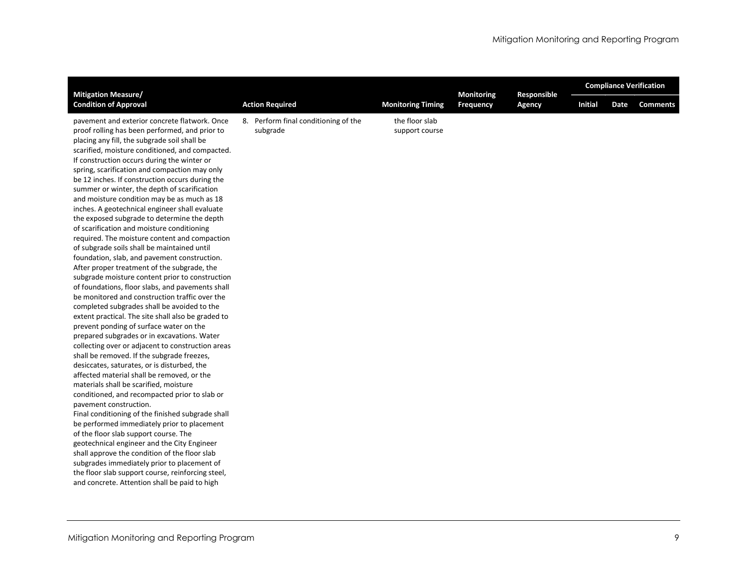| <b>Mitigation Measure/</b>                                                                                                                                                                                                                                                                                                                                                                                                                                                                                                                                                                                                                                                                                                                                                                                                                                                                                                                                                                                                                                                                                                                                                                                                                                                                                                                                                                                                                                                                                                                                                                                                                                                                                                                                                                                                                                                        |                                                  |                                  | <b>Monitoring</b><br>Responsible |        | <b>Compliance Verification</b> |      |                 |  |  |
|-----------------------------------------------------------------------------------------------------------------------------------------------------------------------------------------------------------------------------------------------------------------------------------------------------------------------------------------------------------------------------------------------------------------------------------------------------------------------------------------------------------------------------------------------------------------------------------------------------------------------------------------------------------------------------------------------------------------------------------------------------------------------------------------------------------------------------------------------------------------------------------------------------------------------------------------------------------------------------------------------------------------------------------------------------------------------------------------------------------------------------------------------------------------------------------------------------------------------------------------------------------------------------------------------------------------------------------------------------------------------------------------------------------------------------------------------------------------------------------------------------------------------------------------------------------------------------------------------------------------------------------------------------------------------------------------------------------------------------------------------------------------------------------------------------------------------------------------------------------------------------------|--------------------------------------------------|----------------------------------|----------------------------------|--------|--------------------------------|------|-----------------|--|--|
| <b>Condition of Approval</b>                                                                                                                                                                                                                                                                                                                                                                                                                                                                                                                                                                                                                                                                                                                                                                                                                                                                                                                                                                                                                                                                                                                                                                                                                                                                                                                                                                                                                                                                                                                                                                                                                                                                                                                                                                                                                                                      | <b>Action Required</b>                           | <b>Monitoring Timing</b>         | <b>Frequency</b>                 | Agency | <b>Initial</b>                 | Date | <b>Comments</b> |  |  |
| pavement and exterior concrete flatwork. Once<br>proof rolling has been performed, and prior to<br>placing any fill, the subgrade soil shall be<br>scarified, moisture conditioned, and compacted.<br>If construction occurs during the winter or<br>spring, scarification and compaction may only<br>be 12 inches. If construction occurs during the<br>summer or winter, the depth of scarification<br>and moisture condition may be as much as 18<br>inches. A geotechnical engineer shall evaluate<br>the exposed subgrade to determine the depth<br>of scarification and moisture conditioning<br>required. The moisture content and compaction<br>of subgrade soils shall be maintained until<br>foundation, slab, and pavement construction.<br>After proper treatment of the subgrade, the<br>subgrade moisture content prior to construction<br>of foundations, floor slabs, and pavements shall<br>be monitored and construction traffic over the<br>completed subgrades shall be avoided to the<br>extent practical. The site shall also be graded to<br>prevent ponding of surface water on the<br>prepared subgrades or in excavations. Water<br>collecting over or adjacent to construction areas<br>shall be removed. If the subgrade freezes,<br>desiccates, saturates, or is disturbed, the<br>affected material shall be removed, or the<br>materials shall be scarified, moisture<br>conditioned, and recompacted prior to slab or<br>pavement construction.<br>Final conditioning of the finished subgrade shall<br>be performed immediately prior to placement<br>of the floor slab support course. The<br>geotechnical engineer and the City Engineer<br>shall approve the condition of the floor slab<br>subgrades immediately prior to placement of<br>the floor slab support course, reinforcing steel,<br>and concrete. Attention shall be paid to high | 8. Perform final conditioning of the<br>subgrade | the floor slab<br>support course |                                  |        |                                |      |                 |  |  |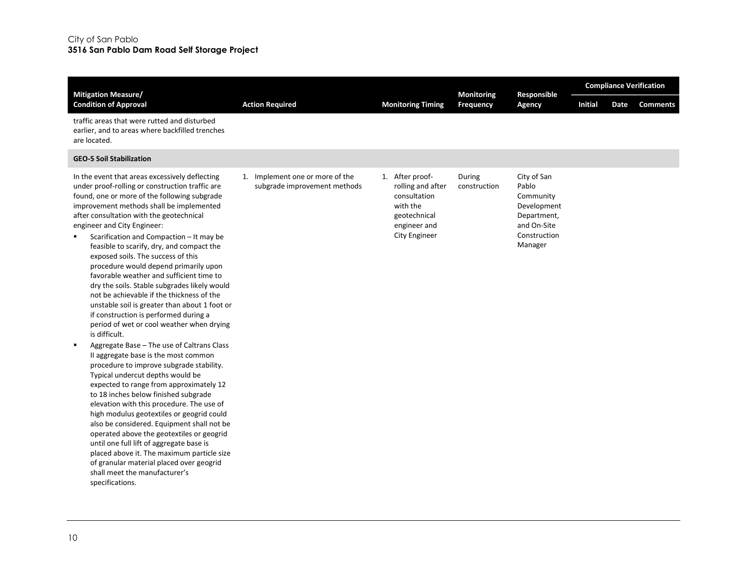| <b>Mitigation Measure/</b>                                                                                                                                                                                                                                                                                                                                                                                                                                                                                                                                                                                                                                                                                                                                                                                                                                                                                                                                                                                                                                                                                                                                                                                                                                                                                                                                                                                  |                                                                 | <b>Monitoring</b><br>Responsible                                                                                  |                        |                                                                                                           | <b>Compliance Verification</b> |      |                 |
|-------------------------------------------------------------------------------------------------------------------------------------------------------------------------------------------------------------------------------------------------------------------------------------------------------------------------------------------------------------------------------------------------------------------------------------------------------------------------------------------------------------------------------------------------------------------------------------------------------------------------------------------------------------------------------------------------------------------------------------------------------------------------------------------------------------------------------------------------------------------------------------------------------------------------------------------------------------------------------------------------------------------------------------------------------------------------------------------------------------------------------------------------------------------------------------------------------------------------------------------------------------------------------------------------------------------------------------------------------------------------------------------------------------|-----------------------------------------------------------------|-------------------------------------------------------------------------------------------------------------------|------------------------|-----------------------------------------------------------------------------------------------------------|--------------------------------|------|-----------------|
| <b>Condition of Approval</b>                                                                                                                                                                                                                                                                                                                                                                                                                                                                                                                                                                                                                                                                                                                                                                                                                                                                                                                                                                                                                                                                                                                                                                                                                                                                                                                                                                                | <b>Action Required</b>                                          | <b>Monitoring Timing</b>                                                                                          | Frequency              | Agency                                                                                                    | <b>Initial</b>                 | Date | <b>Comments</b> |
| traffic areas that were rutted and disturbed<br>earlier, and to areas where backfilled trenches<br>are located.                                                                                                                                                                                                                                                                                                                                                                                                                                                                                                                                                                                                                                                                                                                                                                                                                                                                                                                                                                                                                                                                                                                                                                                                                                                                                             |                                                                 |                                                                                                                   |                        |                                                                                                           |                                |      |                 |
| <b>GEO-5 Soil Stabilization</b>                                                                                                                                                                                                                                                                                                                                                                                                                                                                                                                                                                                                                                                                                                                                                                                                                                                                                                                                                                                                                                                                                                                                                                                                                                                                                                                                                                             |                                                                 |                                                                                                                   |                        |                                                                                                           |                                |      |                 |
| In the event that areas excessively deflecting<br>under proof-rolling or construction traffic are<br>found, one or more of the following subgrade<br>improvement methods shall be implemented<br>after consultation with the geotechnical<br>engineer and City Engineer:<br>Scarification and Compaction - It may be<br>feasible to scarify, dry, and compact the<br>exposed soils. The success of this<br>procedure would depend primarily upon<br>favorable weather and sufficient time to<br>dry the soils. Stable subgrades likely would<br>not be achievable if the thickness of the<br>unstable soil is greater than about 1 foot or<br>if construction is performed during a<br>period of wet or cool weather when drying<br>is difficult.<br>Aggregate Base - The use of Caltrans Class<br>$\blacksquare$<br>II aggregate base is the most common<br>procedure to improve subgrade stability.<br>Typical undercut depths would be<br>expected to range from approximately 12<br>to 18 inches below finished subgrade<br>elevation with this procedure. The use of<br>high modulus geotextiles or geogrid could<br>also be considered. Equipment shall not be<br>operated above the geotextiles or geogrid<br>until one full lift of aggregate base is<br>placed above it. The maximum particle size<br>of granular material placed over geogrid<br>shall meet the manufacturer's<br>specifications. | 1. Implement one or more of the<br>subgrade improvement methods | 1. After proof-<br>rolling and after<br>consultation<br>with the<br>geotechnical<br>engineer and<br>City Engineer | During<br>construction | City of San<br>Pablo<br>Community<br>Development<br>Department,<br>and On-Site<br>Construction<br>Manager |                                |      |                 |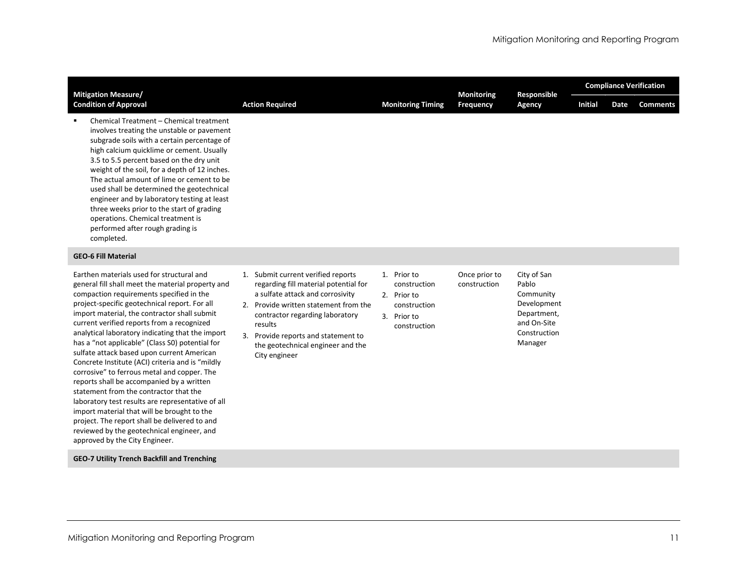| <b>Mitigation Measure/</b>                                                                                                                                                                                                                                                                                                                                                                                                                                                                                                                                                                                                                                                                                                                                                                                                                                                    |                                                                                                                                                                                                                                                                                                     |                                                                                           | <b>Monitoring</b>             | Responsible                                                                                               | <b>Compliance Verification</b> |      |                 |  |  |
|-------------------------------------------------------------------------------------------------------------------------------------------------------------------------------------------------------------------------------------------------------------------------------------------------------------------------------------------------------------------------------------------------------------------------------------------------------------------------------------------------------------------------------------------------------------------------------------------------------------------------------------------------------------------------------------------------------------------------------------------------------------------------------------------------------------------------------------------------------------------------------|-----------------------------------------------------------------------------------------------------------------------------------------------------------------------------------------------------------------------------------------------------------------------------------------------------|-------------------------------------------------------------------------------------------|-------------------------------|-----------------------------------------------------------------------------------------------------------|--------------------------------|------|-----------------|--|--|
| <b>Condition of Approval</b>                                                                                                                                                                                                                                                                                                                                                                                                                                                                                                                                                                                                                                                                                                                                                                                                                                                  | <b>Action Required</b>                                                                                                                                                                                                                                                                              | <b>Monitoring Timing</b>                                                                  | <b>Frequency</b>              | Agency                                                                                                    | <b>Initial</b>                 | Date | <b>Comments</b> |  |  |
| Chemical Treatment - Chemical treatment<br>involves treating the unstable or pavement<br>subgrade soils with a certain percentage of<br>high calcium quicklime or cement. Usually<br>3.5 to 5.5 percent based on the dry unit<br>weight of the soil, for a depth of 12 inches.<br>The actual amount of lime or cement to be<br>used shall be determined the geotechnical<br>engineer and by laboratory testing at least<br>three weeks prior to the start of grading<br>operations. Chemical treatment is<br>performed after rough grading is<br>completed.                                                                                                                                                                                                                                                                                                                   |                                                                                                                                                                                                                                                                                                     |                                                                                           |                               |                                                                                                           |                                |      |                 |  |  |
| <b>GEO-6 Fill Material</b>                                                                                                                                                                                                                                                                                                                                                                                                                                                                                                                                                                                                                                                                                                                                                                                                                                                    |                                                                                                                                                                                                                                                                                                     |                                                                                           |                               |                                                                                                           |                                |      |                 |  |  |
| Earthen materials used for structural and<br>general fill shall meet the material property and<br>compaction requirements specified in the<br>project-specific geotechnical report. For all<br>import material, the contractor shall submit<br>current verified reports from a recognized<br>analytical laboratory indicating that the import<br>has a "not applicable" (Class S0) potential for<br>sulfate attack based upon current American<br>Concrete Institute (ACI) criteria and is "mildly<br>corrosive" to ferrous metal and copper. The<br>reports shall be accompanied by a written<br>statement from the contractor that the<br>laboratory test results are representative of all<br>import material that will be brought to the<br>project. The report shall be delivered to and<br>reviewed by the geotechnical engineer, and<br>approved by the City Engineer. | 1. Submit current verified reports<br>regarding fill material potential for<br>a sulfate attack and corrosivity<br>2. Provide written statement from the<br>contractor regarding laboratory<br>results<br>3. Provide reports and statement to<br>the geotechnical engineer and the<br>City engineer | 1. Prior to<br>construction<br>2. Prior to<br>construction<br>3. Prior to<br>construction | Once prior to<br>construction | City of San<br>Pablo<br>Community<br>Development<br>Department,<br>and On-Site<br>Construction<br>Manager |                                |      |                 |  |  |
| <b>GEO-7 Utility Trench Backfill and Trenching</b>                                                                                                                                                                                                                                                                                                                                                                                                                                                                                                                                                                                                                                                                                                                                                                                                                            |                                                                                                                                                                                                                                                                                                     |                                                                                           |                               |                                                                                                           |                                |      |                 |  |  |
|                                                                                                                                                                                                                                                                                                                                                                                                                                                                                                                                                                                                                                                                                                                                                                                                                                                                               |                                                                                                                                                                                                                                                                                                     |                                                                                           |                               |                                                                                                           |                                |      |                 |  |  |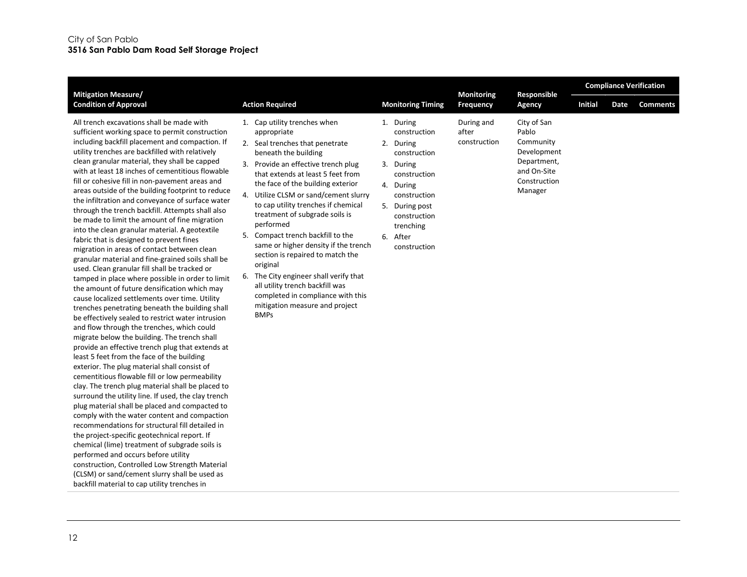| <b>Mitigation Measure/</b>                                                                                                                                                                                                                                                                                                                                                                                                                                                                                                                                                                                                                                                                                                                                                                                                                                                                                                                                                                                                                                                                                                                                                                                                                                                                                                                                                                                                                                                                                                                                                                                                                                                                                                                                                                                                                                                                                                                               |                                                                                                                                                                                                                                                                                                                                                                                                                                                                                                                                                                                                                                                           |                                                                                                                                                                                                | Monitoring                          | Responsible                                                                                               |                |      | <b>Compliance Verification</b> |  |  |
|----------------------------------------------------------------------------------------------------------------------------------------------------------------------------------------------------------------------------------------------------------------------------------------------------------------------------------------------------------------------------------------------------------------------------------------------------------------------------------------------------------------------------------------------------------------------------------------------------------------------------------------------------------------------------------------------------------------------------------------------------------------------------------------------------------------------------------------------------------------------------------------------------------------------------------------------------------------------------------------------------------------------------------------------------------------------------------------------------------------------------------------------------------------------------------------------------------------------------------------------------------------------------------------------------------------------------------------------------------------------------------------------------------------------------------------------------------------------------------------------------------------------------------------------------------------------------------------------------------------------------------------------------------------------------------------------------------------------------------------------------------------------------------------------------------------------------------------------------------------------------------------------------------------------------------------------------------|-----------------------------------------------------------------------------------------------------------------------------------------------------------------------------------------------------------------------------------------------------------------------------------------------------------------------------------------------------------------------------------------------------------------------------------------------------------------------------------------------------------------------------------------------------------------------------------------------------------------------------------------------------------|------------------------------------------------------------------------------------------------------------------------------------------------------------------------------------------------|-------------------------------------|-----------------------------------------------------------------------------------------------------------|----------------|------|--------------------------------|--|--|
| <b>Condition of Approval</b>                                                                                                                                                                                                                                                                                                                                                                                                                                                                                                                                                                                                                                                                                                                                                                                                                                                                                                                                                                                                                                                                                                                                                                                                                                                                                                                                                                                                                                                                                                                                                                                                                                                                                                                                                                                                                                                                                                                             | <b>Action Required</b>                                                                                                                                                                                                                                                                                                                                                                                                                                                                                                                                                                                                                                    | <b>Monitoring Timing</b>                                                                                                                                                                       | Frequency                           | Agency                                                                                                    | <b>Initial</b> | Date | <b>Comments</b>                |  |  |
| All trench excavations shall be made with<br>sufficient working space to permit construction<br>including backfill placement and compaction. If<br>utility trenches are backfilled with relatively<br>clean granular material, they shall be capped<br>with at least 18 inches of cementitious flowable<br>fill or cohesive fill in non-pavement areas and<br>areas outside of the building footprint to reduce<br>the infiltration and conveyance of surface water<br>through the trench backfill. Attempts shall also<br>be made to limit the amount of fine migration<br>into the clean granular material. A geotextile<br>fabric that is designed to prevent fines<br>migration in areas of contact between clean<br>granular material and fine-grained soils shall be<br>used. Clean granular fill shall be tracked or<br>tamped in place where possible in order to limit<br>the amount of future densification which may<br>cause localized settlements over time. Utility<br>trenches penetrating beneath the building shall<br>be effectively sealed to restrict water intrusion<br>and flow through the trenches, which could<br>migrate below the building. The trench shall<br>provide an effective trench plug that extends at<br>least 5 feet from the face of the building<br>exterior. The plug material shall consist of<br>cementitious flowable fill or low permeability<br>clay. The trench plug material shall be placed to<br>surround the utility line. If used, the clay trench<br>plug material shall be placed and compacted to<br>comply with the water content and compaction<br>recommendations for structural fill detailed in<br>the project-specific geotechnical report. If<br>chemical (lime) treatment of subgrade soils is<br>performed and occurs before utility<br>construction, Controlled Low Strength Material<br>(CLSM) or sand/cement slurry shall be used as<br>backfill material to cap utility trenches in | 1. Cap utility trenches when<br>appropriate<br>2. Seal trenches that penetrate<br>beneath the building<br>3. Provide an effective trench plug<br>that extends at least 5 feet from<br>the face of the building exterior<br>4. Utilize CLSM or sand/cement slurry<br>to cap utility trenches if chemical<br>treatment of subgrade soils is<br>performed<br>Compact trench backfill to the<br>5.<br>same or higher density if the trench<br>section is repaired to match the<br>original<br>6. The City engineer shall verify that<br>all utility trench backfill was<br>completed in compliance with this<br>mitigation measure and project<br><b>BMPs</b> | 1. During<br>construction<br>2. During<br>construction<br>3. During<br>construction<br>4. During<br>construction<br>5. During post<br>construction<br>trenching<br>6.<br>After<br>construction | During and<br>after<br>construction | City of San<br>Pablo<br>Community<br>Development<br>Department,<br>and On-Site<br>Construction<br>Manager |                |      |                                |  |  |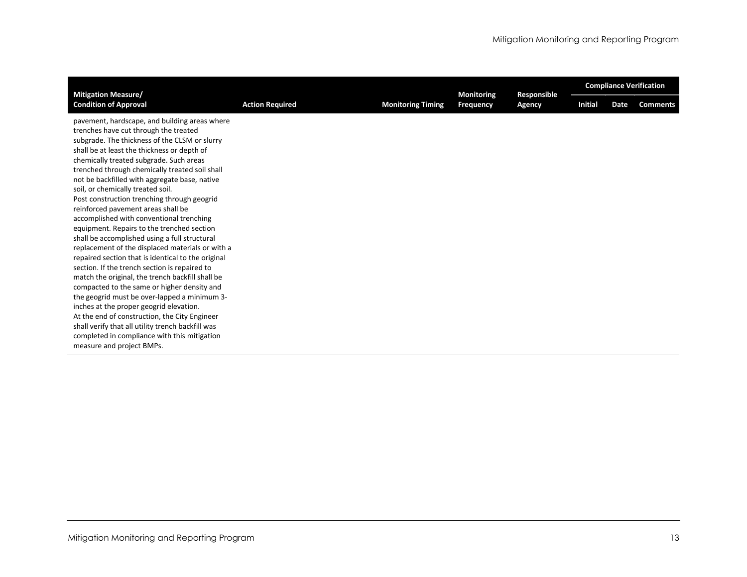| <b>Mitigation Measure/</b>                                                                                                                                                                                                                                                                                                                                                                                                                                                                                                                                                                                                                                                                                                                                                                                                                                                                                                                                                                                                                                                                                                                            |  |                          | <b>Monitoring</b> | Responsible | <b>Compliance Verification</b> |             |                 |  |  |
|-------------------------------------------------------------------------------------------------------------------------------------------------------------------------------------------------------------------------------------------------------------------------------------------------------------------------------------------------------------------------------------------------------------------------------------------------------------------------------------------------------------------------------------------------------------------------------------------------------------------------------------------------------------------------------------------------------------------------------------------------------------------------------------------------------------------------------------------------------------------------------------------------------------------------------------------------------------------------------------------------------------------------------------------------------------------------------------------------------------------------------------------------------|--|--------------------------|-------------------|-------------|--------------------------------|-------------|-----------------|--|--|
| <b>Condition of Approval</b><br><b>Action Required</b>                                                                                                                                                                                                                                                                                                                                                                                                                                                                                                                                                                                                                                                                                                                                                                                                                                                                                                                                                                                                                                                                                                |  | <b>Monitoring Timing</b> | <b>Frequency</b>  | Agency      | <b>Initial</b>                 | <b>Date</b> | <b>Comments</b> |  |  |
| pavement, hardscape, and building areas where<br>trenches have cut through the treated<br>subgrade. The thickness of the CLSM or slurry<br>shall be at least the thickness or depth of<br>chemically treated subgrade. Such areas<br>trenched through chemically treated soil shall<br>not be backfilled with aggregate base, native<br>soil, or chemically treated soil.<br>Post construction trenching through geogrid<br>reinforced pavement areas shall be<br>accomplished with conventional trenching<br>equipment. Repairs to the trenched section<br>shall be accomplished using a full structural<br>replacement of the displaced materials or with a<br>repaired section that is identical to the original<br>section. If the trench section is repaired to<br>match the original, the trench backfill shall be<br>compacted to the same or higher density and<br>the geogrid must be over-lapped a minimum 3-<br>inches at the proper geogrid elevation.<br>At the end of construction, the City Engineer<br>shall verify that all utility trench backfill was<br>completed in compliance with this mitigation<br>measure and project BMPs. |  |                          |                   |             |                                |             |                 |  |  |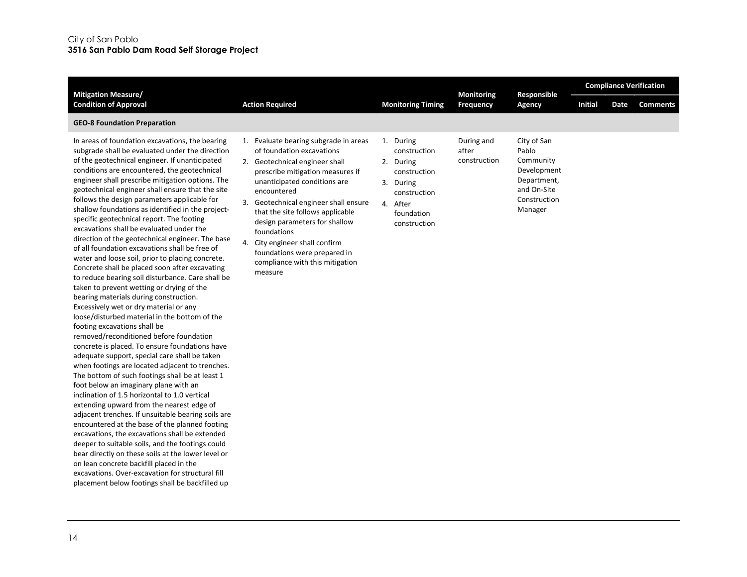| <b>Mitigation Measure/</b>                                                                                                                                                                                                                                                                                                                                                                                                                                                                                                                                                                                                                                                                                                                                                                                                                                                                                                                                                                                                                                                                                                                                                                                                                                                                                                                                                                                                                                                                                                                                                                                                                                                                                                                                                                                     |                                                                                                                                                                                                                                                                                                                                                                                                                                      |                                                                                                                               |                                     | <b>Monitoring</b><br>Responsible                                                                          | <b>Compliance Verification</b> |      |                 |  |
|----------------------------------------------------------------------------------------------------------------------------------------------------------------------------------------------------------------------------------------------------------------------------------------------------------------------------------------------------------------------------------------------------------------------------------------------------------------------------------------------------------------------------------------------------------------------------------------------------------------------------------------------------------------------------------------------------------------------------------------------------------------------------------------------------------------------------------------------------------------------------------------------------------------------------------------------------------------------------------------------------------------------------------------------------------------------------------------------------------------------------------------------------------------------------------------------------------------------------------------------------------------------------------------------------------------------------------------------------------------------------------------------------------------------------------------------------------------------------------------------------------------------------------------------------------------------------------------------------------------------------------------------------------------------------------------------------------------------------------------------------------------------------------------------------------------|--------------------------------------------------------------------------------------------------------------------------------------------------------------------------------------------------------------------------------------------------------------------------------------------------------------------------------------------------------------------------------------------------------------------------------------|-------------------------------------------------------------------------------------------------------------------------------|-------------------------------------|-----------------------------------------------------------------------------------------------------------|--------------------------------|------|-----------------|--|
| <b>Condition of Approval</b>                                                                                                                                                                                                                                                                                                                                                                                                                                                                                                                                                                                                                                                                                                                                                                                                                                                                                                                                                                                                                                                                                                                                                                                                                                                                                                                                                                                                                                                                                                                                                                                                                                                                                                                                                                                   | <b>Action Required</b>                                                                                                                                                                                                                                                                                                                                                                                                               | <b>Monitoring Timing</b>                                                                                                      | <b>Frequency</b>                    | Agency                                                                                                    | <b>Initial</b>                 | Date | <b>Comments</b> |  |
| <b>GEO-8 Foundation Preparation</b>                                                                                                                                                                                                                                                                                                                                                                                                                                                                                                                                                                                                                                                                                                                                                                                                                                                                                                                                                                                                                                                                                                                                                                                                                                                                                                                                                                                                                                                                                                                                                                                                                                                                                                                                                                            |                                                                                                                                                                                                                                                                                                                                                                                                                                      |                                                                                                                               |                                     |                                                                                                           |                                |      |                 |  |
| In areas of foundation excavations, the bearing<br>subgrade shall be evaluated under the direction<br>of the geotechnical engineer. If unanticipated<br>conditions are encountered, the geotechnical<br>engineer shall prescribe mitigation options. The<br>geotechnical engineer shall ensure that the site<br>follows the design parameters applicable for<br>shallow foundations as identified in the project-<br>specific geotechnical report. The footing<br>excavations shall be evaluated under the<br>direction of the geotechnical engineer. The base<br>of all foundation excavations shall be free of<br>water and loose soil, prior to placing concrete.<br>Concrete shall be placed soon after excavating<br>to reduce bearing soil disturbance. Care shall be<br>taken to prevent wetting or drying of the<br>bearing materials during construction.<br>Excessively wet or dry material or any<br>loose/disturbed material in the bottom of the<br>footing excavations shall be<br>removed/reconditioned before foundation<br>concrete is placed. To ensure foundations have<br>adequate support, special care shall be taken<br>when footings are located adjacent to trenches.<br>The bottom of such footings shall be at least 1<br>foot below an imaginary plane with an<br>inclination of 1.5 horizontal to 1.0 vertical<br>extending upward from the nearest edge of<br>adjacent trenches. If unsuitable bearing soils are<br>encountered at the base of the planned footing<br>excavations, the excavations shall be extended<br>deeper to suitable soils, and the footings could<br>bear directly on these soils at the lower level or<br>on lean concrete backfill placed in the<br>excavations. Over-excavation for structural fill<br>placement below footings shall be backfilled up | 1. Evaluate bearing subgrade in areas<br>of foundation excavations<br>2. Geotechnical engineer shall<br>prescribe mitigation measures if<br>unanticipated conditions are<br>encountered<br>3. Geotechnical engineer shall ensure<br>that the site follows applicable<br>design parameters for shallow<br>foundations<br>4. City engineer shall confirm<br>foundations were prepared in<br>compliance with this mitigation<br>measure | 1. During<br>construction<br>2. During<br>construction<br>3. During<br>construction<br>4. After<br>foundation<br>construction | During and<br>after<br>construction | City of San<br>Pablo<br>Community<br>Development<br>Department,<br>and On-Site<br>Construction<br>Manager |                                |      |                 |  |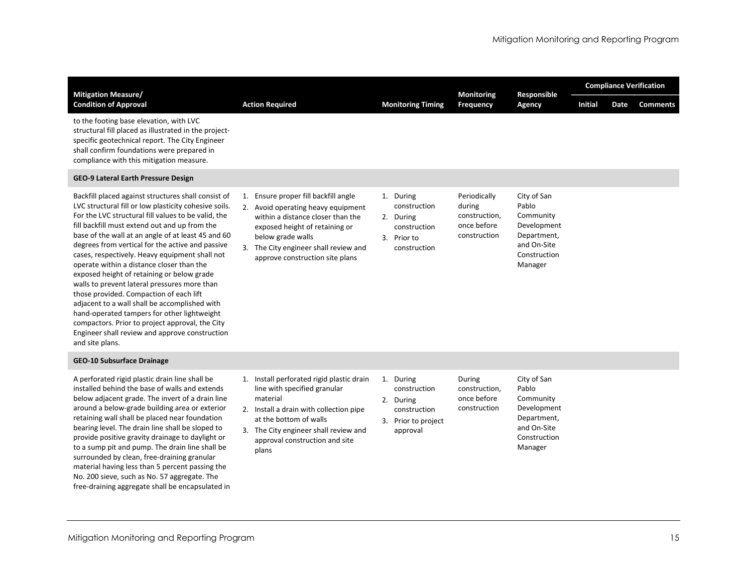| <b>Mitigation Measure/</b>                                                                                                                                                                                                                                                                                                                                                                                                                                                                                                                                                                                                                                                                                                                                                                     |                                                                                                                                                                                                                                                    |                                                                                           | <b>Monitoring</b>                                                      | Responsible                                                                                               | <b>Compliance Verification</b> |      |                 |
|------------------------------------------------------------------------------------------------------------------------------------------------------------------------------------------------------------------------------------------------------------------------------------------------------------------------------------------------------------------------------------------------------------------------------------------------------------------------------------------------------------------------------------------------------------------------------------------------------------------------------------------------------------------------------------------------------------------------------------------------------------------------------------------------|----------------------------------------------------------------------------------------------------------------------------------------------------------------------------------------------------------------------------------------------------|-------------------------------------------------------------------------------------------|------------------------------------------------------------------------|-----------------------------------------------------------------------------------------------------------|--------------------------------|------|-----------------|
| <b>Condition of Approval</b>                                                                                                                                                                                                                                                                                                                                                                                                                                                                                                                                                                                                                                                                                                                                                                   | <b>Action Required</b>                                                                                                                                                                                                                             | <b>Monitoring Timing</b>                                                                  | <b>Frequency</b>                                                       | Agency                                                                                                    | <b>Initial</b>                 | Date | <b>Comments</b> |
| to the footing base elevation, with LVC<br>structural fill placed as illustrated in the project-<br>specific geotechnical report. The City Engineer<br>shall confirm foundations were prepared in<br>compliance with this mitigation measure.                                                                                                                                                                                                                                                                                                                                                                                                                                                                                                                                                  |                                                                                                                                                                                                                                                    |                                                                                           |                                                                        |                                                                                                           |                                |      |                 |
| GEO-9 Lateral Earth Pressure Design                                                                                                                                                                                                                                                                                                                                                                                                                                                                                                                                                                                                                                                                                                                                                            |                                                                                                                                                                                                                                                    |                                                                                           |                                                                        |                                                                                                           |                                |      |                 |
| Backfill placed against structures shall consist of<br>LVC structural fill or low plasticity cohesive soils.<br>For the LVC structural fill values to be valid, the<br>fill backfill must extend out and up from the<br>base of the wall at an angle of at least 45 and 60<br>degrees from vertical for the active and passive<br>cases, respectively. Heavy equipment shall not<br>operate within a distance closer than the<br>exposed height of retaining or below grade<br>walls to prevent lateral pressures more than<br>those provided. Compaction of each lift<br>adjacent to a wall shall be accomplished with<br>hand-operated tampers for other lightweight<br>compactors. Prior to project approval, the City<br>Engineer shall review and approve construction<br>and site plans. | 1. Ensure proper fill backfill angle<br>2. Avoid operating heavy equipment<br>within a distance closer than the<br>exposed height of retaining or<br>below grade walls<br>3. The City engineer shall review and<br>approve construction site plans | 1. During<br>construction<br>2. During<br>construction<br>3. Prior to<br>construction     | Periodically<br>during<br>construction,<br>once before<br>construction | City of San<br>Pablo<br>Community<br>Development<br>Department,<br>and On-Site<br>Construction<br>Manager |                                |      |                 |
| <b>GEO-10 Subsurface Drainage</b>                                                                                                                                                                                                                                                                                                                                                                                                                                                                                                                                                                                                                                                                                                                                                              |                                                                                                                                                                                                                                                    |                                                                                           |                                                                        |                                                                                                           |                                |      |                 |
| A perforated rigid plastic drain line shall be<br>installed behind the base of walls and extends<br>below adjacent grade. The invert of a drain line<br>around a below-grade building area or exterior<br>retaining wall shall be placed near foundation<br>bearing level. The drain line shall be sloped to<br>provide positive gravity drainage to daylight or<br>to a sump pit and pump. The drain line shall be<br>surrounded by clean, free-draining granular<br>material having less than 5 percent passing the<br>No. 200 sieve, such as No. 57 aggregate. The<br>free-draining aggregate shall be encapsulated in                                                                                                                                                                      | 1. Install perforated rigid plastic drain<br>line with specified granular<br>material<br>2. Install a drain with collection pipe<br>at the bottom of walls<br>3. The City engineer shall review and<br>approval construction and site<br>plans     | 1. During<br>construction<br>2. During<br>construction<br>3. Prior to project<br>approval | During<br>construction,<br>once before<br>construction                 | City of San<br>Pablo<br>Community<br>Development<br>Department,<br>and On-Site<br>Construction<br>Manager |                                |      |                 |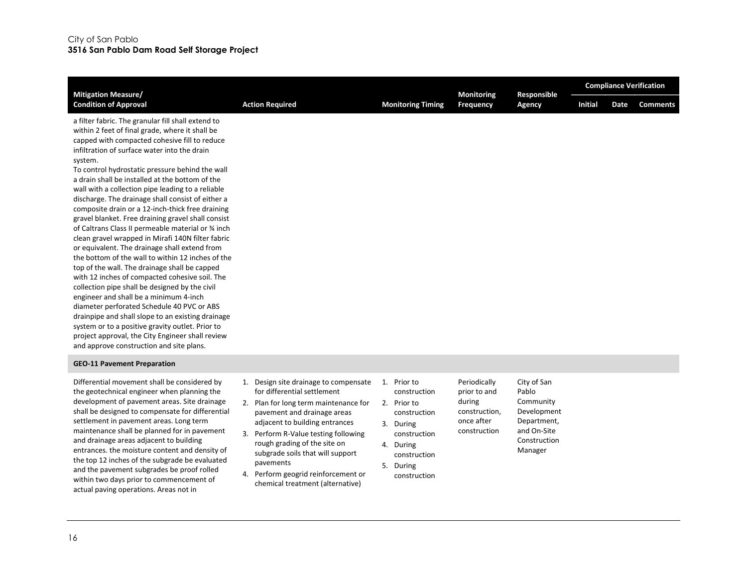| <b>Mitigation Measure/</b>                                                                                                                                                                                                                                                                                                                                                                                                                                                                                                                                                                                                                                                                                                                                                                                                                                                                                                                                                                                                                                                                                                                                                                                         |    |                                                                                                                                                                             |  | <b>Monitoring</b>                                                      |                                                      | Responsible   | <b>Compliance Verification</b>                                  |                |      |                 |
|--------------------------------------------------------------------------------------------------------------------------------------------------------------------------------------------------------------------------------------------------------------------------------------------------------------------------------------------------------------------------------------------------------------------------------------------------------------------------------------------------------------------------------------------------------------------------------------------------------------------------------------------------------------------------------------------------------------------------------------------------------------------------------------------------------------------------------------------------------------------------------------------------------------------------------------------------------------------------------------------------------------------------------------------------------------------------------------------------------------------------------------------------------------------------------------------------------------------|----|-----------------------------------------------------------------------------------------------------------------------------------------------------------------------------|--|------------------------------------------------------------------------|------------------------------------------------------|---------------|-----------------------------------------------------------------|----------------|------|-----------------|
| <b>Condition of Approval</b>                                                                                                                                                                                                                                                                                                                                                                                                                                                                                                                                                                                                                                                                                                                                                                                                                                                                                                                                                                                                                                                                                                                                                                                       |    | <b>Action Required</b>                                                                                                                                                      |  | <b>Monitoring Timing</b>                                               | Frequency                                            |               | Agency                                                          | <b>Initial</b> | Date | <b>Comments</b> |
| a filter fabric. The granular fill shall extend to<br>within 2 feet of final grade, where it shall be<br>capped with compacted cohesive fill to reduce<br>infiltration of surface water into the drain<br>system.<br>To control hydrostatic pressure behind the wall<br>a drain shall be installed at the bottom of the<br>wall with a collection pipe leading to a reliable<br>discharge. The drainage shall consist of either a<br>composite drain or a 12-inch-thick free draining<br>gravel blanket. Free draining gravel shall consist<br>of Caltrans Class II permeable material or 34 inch<br>clean gravel wrapped in Mirafi 140N filter fabric<br>or equivalent. The drainage shall extend from<br>the bottom of the wall to within 12 inches of the<br>top of the wall. The drainage shall be capped<br>with 12 inches of compacted cohesive soil. The<br>collection pipe shall be designed by the civil<br>engineer and shall be a minimum 4-inch<br>diameter perforated Schedule 40 PVC or ABS<br>drainpipe and shall slope to an existing drainage<br>system or to a positive gravity outlet. Prior to<br>project approval, the City Engineer shall review<br>and approve construction and site plans. |    |                                                                                                                                                                             |  |                                                                        |                                                      |               |                                                                 |                |      |                 |
| <b>GEO-11 Pavement Preparation</b>                                                                                                                                                                                                                                                                                                                                                                                                                                                                                                                                                                                                                                                                                                                                                                                                                                                                                                                                                                                                                                                                                                                                                                                 |    |                                                                                                                                                                             |  |                                                                        |                                                      |               |                                                                 |                |      |                 |
| Differential movement shall be considered by<br>the geotechnical engineer when planning the<br>development of pavement areas. Site drainage<br>shall be designed to compensate for differential<br>settlement in pavement areas. Long term                                                                                                                                                                                                                                                                                                                                                                                                                                                                                                                                                                                                                                                                                                                                                                                                                                                                                                                                                                         | 1. | Design site drainage to compensate<br>for differential settlement<br>2. Plan for long term maintenance for<br>pavement and drainage areas<br>adiacent to building entrances |  | 1. Prior to<br>construction<br>2. Prior to<br>construction<br>3 During | Periodically<br>prior to and<br>during<br>once after | construction, | City of San<br>Pablo<br>Community<br>Development<br>Department, |                |      |                 |

settlement in pavement areas. Long term maintenance shall be planned for in pavement and drainage areas adjacent to building entrances. the moisture content and density of the top 12 inches of the subgrade be evaluated and the pavement subgrades be proof rolled within two days prior to commencement of actual paving operations. Areas not in

- adjacent to building entrances
- 3. Perform R-Value testing following rough grading of the site on subgrade soils that will support pavements
- 4. Perform geogrid reinforcement or chemical treatment (alternative)
- 3. During

construction

and On-Site Construction Manager

- construction 4. During
- construction
- 5. During construction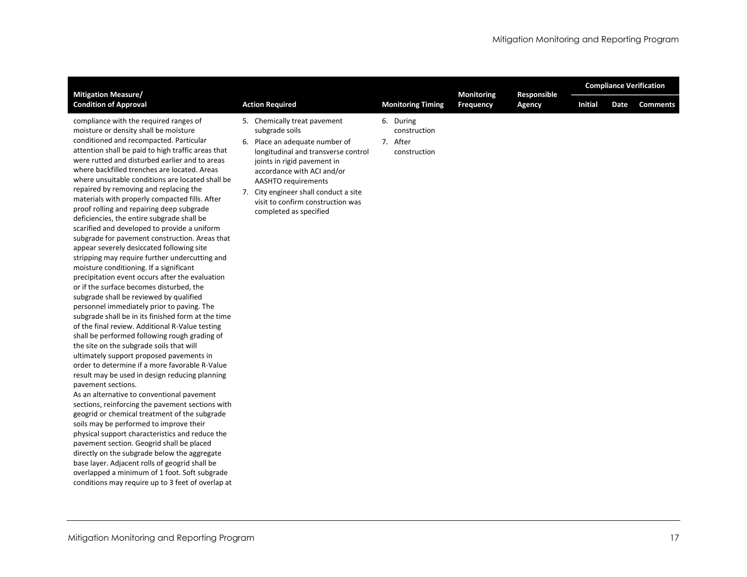| <b>Mitigation Measure/</b>                                                                                                                                                                                                                                                                                                                                                                                                                                                                                                                                                                                                                                                                                                                                                                                                                                                                                                                                                                                                                                                                                                                                                                                                                                                                                                                                                                                                                                                                                                                                                                                                                                                                                                                                                                                                                          |                                                                                                                                                                                                                                                                                                                            | <b>Monitoring Timing</b>                              | <b>Monitoring</b><br>Frequency | Responsible<br>Agency | <b>Compliance Verification</b> |      |                 |  |
|-----------------------------------------------------------------------------------------------------------------------------------------------------------------------------------------------------------------------------------------------------------------------------------------------------------------------------------------------------------------------------------------------------------------------------------------------------------------------------------------------------------------------------------------------------------------------------------------------------------------------------------------------------------------------------------------------------------------------------------------------------------------------------------------------------------------------------------------------------------------------------------------------------------------------------------------------------------------------------------------------------------------------------------------------------------------------------------------------------------------------------------------------------------------------------------------------------------------------------------------------------------------------------------------------------------------------------------------------------------------------------------------------------------------------------------------------------------------------------------------------------------------------------------------------------------------------------------------------------------------------------------------------------------------------------------------------------------------------------------------------------------------------------------------------------------------------------------------------------|----------------------------------------------------------------------------------------------------------------------------------------------------------------------------------------------------------------------------------------------------------------------------------------------------------------------------|-------------------------------------------------------|--------------------------------|-----------------------|--------------------------------|------|-----------------|--|
| <b>Condition of Approval</b>                                                                                                                                                                                                                                                                                                                                                                                                                                                                                                                                                                                                                                                                                                                                                                                                                                                                                                                                                                                                                                                                                                                                                                                                                                                                                                                                                                                                                                                                                                                                                                                                                                                                                                                                                                                                                        | <b>Action Required</b>                                                                                                                                                                                                                                                                                                     |                                                       |                                |                       | <b>Initial</b>                 | Date | <b>Comments</b> |  |
| compliance with the required ranges of<br>moisture or density shall be moisture<br>conditioned and recompacted. Particular<br>attention shall be paid to high traffic areas that<br>were rutted and disturbed earlier and to areas<br>where backfilled trenches are located. Areas<br>where unsuitable conditions are located shall be<br>repaired by removing and replacing the<br>materials with properly compacted fills. After<br>proof rolling and repairing deep subgrade<br>deficiencies, the entire subgrade shall be<br>scarified and developed to provide a uniform<br>subgrade for pavement construction. Areas that<br>appear severely desiccated following site<br>stripping may require further undercutting and<br>moisture conditioning. If a significant<br>precipitation event occurs after the evaluation<br>or if the surface becomes disturbed, the<br>subgrade shall be reviewed by qualified<br>personnel immediately prior to paving. The<br>subgrade shall be in its finished form at the time<br>of the final review. Additional R-Value testing<br>shall be performed following rough grading of<br>the site on the subgrade soils that will<br>ultimately support proposed pavements in<br>order to determine if a more favorable R-Value<br>result may be used in design reducing planning<br>pavement sections.<br>As an alternative to conventional pavement<br>sections, reinforcing the pavement sections with<br>geogrid or chemical treatment of the subgrade<br>soils may be performed to improve their<br>physical support characteristics and reduce the<br>pavement section. Geogrid shall be placed<br>directly on the subgrade below the aggregate<br>base layer. Adjacent rolls of geogrid shall be<br>overlapped a minimum of 1 foot. Soft subgrade<br>conditions may require up to 3 feet of overlap at | 5. Chemically treat pavement<br>subgrade soils<br>6. Place an adequate number of<br>longitudinal and transverse control<br>joints in rigid pavement in<br>accordance with ACI and/or<br><b>AASHTO</b> requirements<br>7. City engineer shall conduct a site<br>visit to confirm construction was<br>completed as specified | 6. During<br>construction<br>7. After<br>construction |                                |                       |                                |      |                 |  |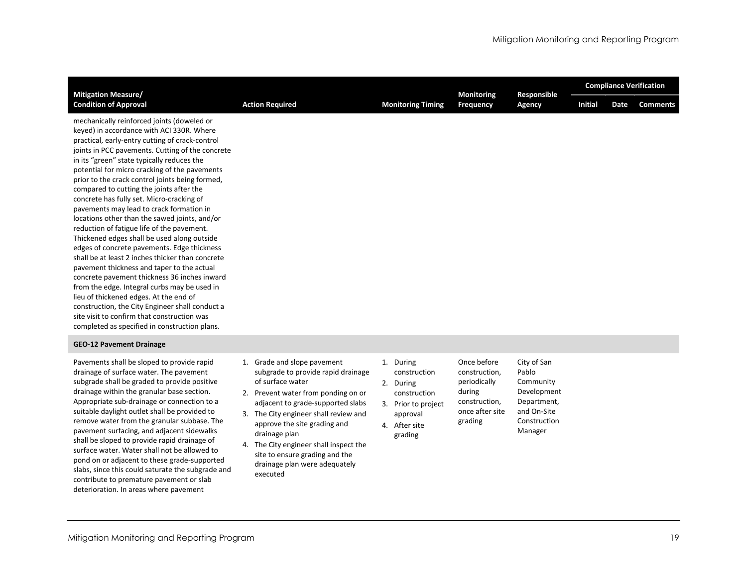| <b>Mitigation Measure/</b>                                                                                                                                                                                                                                                                                                                                                                                                                                                                                                                                                                                                                                                                                                                                                                                                                                                                                                                                                                                                                                                        |                        |                          | <b>Monitoring</b> | Responsible | <b>Compliance Verification</b> |      |                 |  |  |
|-----------------------------------------------------------------------------------------------------------------------------------------------------------------------------------------------------------------------------------------------------------------------------------------------------------------------------------------------------------------------------------------------------------------------------------------------------------------------------------------------------------------------------------------------------------------------------------------------------------------------------------------------------------------------------------------------------------------------------------------------------------------------------------------------------------------------------------------------------------------------------------------------------------------------------------------------------------------------------------------------------------------------------------------------------------------------------------|------------------------|--------------------------|-------------------|-------------|--------------------------------|------|-----------------|--|--|
| <b>Condition of Approval</b>                                                                                                                                                                                                                                                                                                                                                                                                                                                                                                                                                                                                                                                                                                                                                                                                                                                                                                                                                                                                                                                      | <b>Action Required</b> | <b>Monitoring Timing</b> | <b>Frequency</b>  | Agency      | <b>Initial</b>                 | Date | <b>Comments</b> |  |  |
| mechanically reinforced joints (doweled or<br>keyed) in accordance with ACI 330R. Where<br>practical, early-entry cutting of crack-control<br>joints in PCC pavements. Cutting of the concrete<br>in its "green" state typically reduces the<br>potential for micro cracking of the pavements<br>prior to the crack control joints being formed,<br>compared to cutting the joints after the<br>concrete has fully set. Micro-cracking of<br>pavements may lead to crack formation in<br>locations other than the sawed joints, and/or<br>reduction of fatigue life of the pavement.<br>Thickened edges shall be used along outside<br>edges of concrete pavements. Edge thickness<br>shall be at least 2 inches thicker than concrete<br>pavement thickness and taper to the actual<br>concrete pavement thickness 36 inches inward<br>from the edge. Integral curbs may be used in<br>lieu of thickened edges. At the end of<br>construction, the City Engineer shall conduct a<br>site visit to confirm that construction was<br>completed as specified in construction plans. |                        |                          |                   |             |                                |      |                 |  |  |

#### GEO-12 Pavement Drainage

Pavements shall be sloped to provide rapid drainage of surface water. The pavement subgrade shall be graded to provide positive drainage within the granular base section. Appropriate sub-drainage or connection to a suitable daylight outlet shall be provided to remove water from the granular subbase. The pavement surfacing, and adjacent sidewalks shall be sloped to provide rapid drainage of surface water. Water shall not be allowed to pond on or adjacent to these grade-supported slabs, since this could saturate the subgrade and contribute to premature pavement or slab deterioration. In areas where pavement

- 1. Grade and slope pavement subgrade to provide rapid drainage of surface water
- 2. Prevent water from ponding on or adjacent to grade-supported slabs
- 3. The City engineer shall review and approve the site grading and drainage plan
- 4. The City engineer shall inspect the site to ensure grading and the drainage plan were adequately executed

1. During construction

grading

- 2. During construction,
- construction 3. Prior to project during
- approval 4. After site
- periodically construction, once after site Community Development Department, and On-Site Construction Manager

City of San Pablo

Once before

grading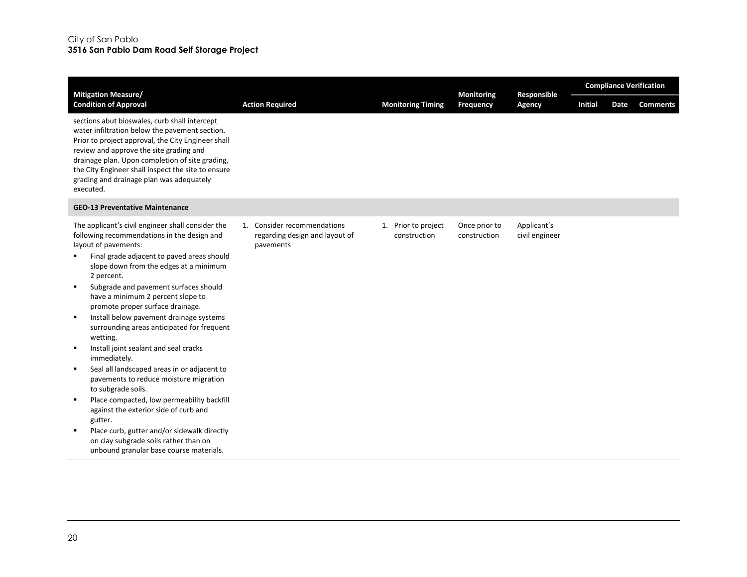| <b>Mitigation Measure/</b>                                                                                                                                                                                                                                                                                                                                                                                                                                                                                                                                                                                                                                                                                                                                                                                                                                                                     |                                                                            |                                     | <b>Monitoring</b>             | Responsible                   | <b>Compliance Verification</b> |      |                 |  |  |
|------------------------------------------------------------------------------------------------------------------------------------------------------------------------------------------------------------------------------------------------------------------------------------------------------------------------------------------------------------------------------------------------------------------------------------------------------------------------------------------------------------------------------------------------------------------------------------------------------------------------------------------------------------------------------------------------------------------------------------------------------------------------------------------------------------------------------------------------------------------------------------------------|----------------------------------------------------------------------------|-------------------------------------|-------------------------------|-------------------------------|--------------------------------|------|-----------------|--|--|
| <b>Condition of Approval</b>                                                                                                                                                                                                                                                                                                                                                                                                                                                                                                                                                                                                                                                                                                                                                                                                                                                                   | <b>Action Required</b>                                                     | <b>Monitoring Timing</b>            | <b>Frequency</b>              | Agency                        | <b>Initial</b>                 | Date | <b>Comments</b> |  |  |
| sections abut bioswales, curb shall intercept<br>water infiltration below the pavement section.<br>Prior to project approval, the City Engineer shall<br>review and approve the site grading and<br>drainage plan. Upon completion of site grading,<br>the City Engineer shall inspect the site to ensure<br>grading and drainage plan was adequately<br>executed.                                                                                                                                                                                                                                                                                                                                                                                                                                                                                                                             |                                                                            |                                     |                               |                               |                                |      |                 |  |  |
| <b>GEO-13 Preventative Maintenance</b>                                                                                                                                                                                                                                                                                                                                                                                                                                                                                                                                                                                                                                                                                                                                                                                                                                                         |                                                                            |                                     |                               |                               |                                |      |                 |  |  |
| The applicant's civil engineer shall consider the<br>following recommendations in the design and<br>layout of pavements:<br>Final grade adjacent to paved areas should<br>slope down from the edges at a minimum<br>2 percent.<br>Subgrade and pavement surfaces should<br>have a minimum 2 percent slope to<br>promote proper surface drainage.<br>Install below pavement drainage systems<br>surrounding areas anticipated for frequent<br>wetting.<br>Install joint sealant and seal cracks<br>$\blacksquare$<br>immediately.<br>Seal all landscaped areas in or adjacent to<br>٠<br>pavements to reduce moisture migration<br>to subgrade soils.<br>Place compacted, low permeability backfill<br>٠<br>against the exterior side of curb and<br>gutter.<br>Place curb, gutter and/or sidewalk directly<br>on clay subgrade soils rather than on<br>unbound granular base course materials. | 1. Consider recommendations<br>regarding design and layout of<br>pavements | 1. Prior to project<br>construction | Once prior to<br>construction | Applicant's<br>civil engineer |                                |      |                 |  |  |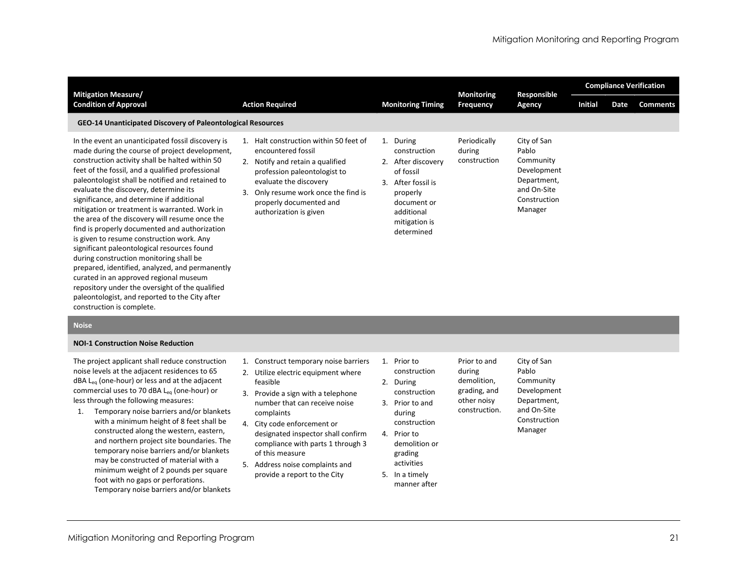|                                                                                                                                                                                                                                                                                                                                                                                                                                                                                                                                                                                                                                                                                                                                                                                                                                                                                |                                                                                                                                                                                                                                                            |                                                                                                                                                               | <b>Monitoring</b>                      |                                                                                                           | <b>Compliance Verification</b> |      |                 |  |
|--------------------------------------------------------------------------------------------------------------------------------------------------------------------------------------------------------------------------------------------------------------------------------------------------------------------------------------------------------------------------------------------------------------------------------------------------------------------------------------------------------------------------------------------------------------------------------------------------------------------------------------------------------------------------------------------------------------------------------------------------------------------------------------------------------------------------------------------------------------------------------|------------------------------------------------------------------------------------------------------------------------------------------------------------------------------------------------------------------------------------------------------------|---------------------------------------------------------------------------------------------------------------------------------------------------------------|----------------------------------------|-----------------------------------------------------------------------------------------------------------|--------------------------------|------|-----------------|--|
| <b>Mitigation Measure/</b><br><b>Condition of Approval</b>                                                                                                                                                                                                                                                                                                                                                                                                                                                                                                                                                                                                                                                                                                                                                                                                                     | <b>Action Required</b>                                                                                                                                                                                                                                     | <b>Monitoring Timing</b>                                                                                                                                      | <b>Frequency</b>                       | Responsible<br>Agency                                                                                     | Initial                        | Date | <b>Comments</b> |  |
| GEO-14 Unanticipated Discovery of Paleontological Resources                                                                                                                                                                                                                                                                                                                                                                                                                                                                                                                                                                                                                                                                                                                                                                                                                    |                                                                                                                                                                                                                                                            |                                                                                                                                                               |                                        |                                                                                                           |                                |      |                 |  |
| In the event an unanticipated fossil discovery is<br>made during the course of project development,<br>construction activity shall be halted within 50<br>feet of the fossil, and a qualified professional<br>paleontologist shall be notified and retained to<br>evaluate the discovery, determine its<br>significance, and determine if additional<br>mitigation or treatment is warranted. Work in<br>the area of the discovery will resume once the<br>find is properly documented and authorization<br>is given to resume construction work. Any<br>significant paleontological resources found<br>during construction monitoring shall be<br>prepared, identified, analyzed, and permanently<br>curated in an approved regional museum<br>repository under the oversight of the qualified<br>paleontologist, and reported to the City after<br>construction is complete. | Halt construction within 50 feet of<br>1.<br>encountered fossil<br>Notify and retain a qualified<br>profession paleontologist to<br>evaluate the discovery<br>Only resume work once the find is<br>3.<br>properly documented and<br>authorization is given | 1. During<br>construction<br>2. After discovery<br>of fossil<br>After fossil is<br>3.<br>properly<br>document or<br>additional<br>mitigation is<br>determined | Periodically<br>during<br>construction | City of San<br>Pablo<br>Community<br>Development<br>Department,<br>and On-Site<br>Construction<br>Manager |                                |      |                 |  |

#### Noise

#### NOI-1 Construction Noise Reduction

The project applicant shall reduce construction noise levels at the adjacent residences to 65 dBA L<sub>eq</sub> (one-hour) or less and at the adjacent commercial uses to 70 dBA Leq (one-hour) or less through the following measures:

- 1. Temporary noise barriers and/or blankets with a minimum height of 8 feet shall be constructed along the western, eastern, and northern project site boundaries. The temporary noise barriers and/or blankets may be constructed of material with a minimum weight of 2 pounds per square foot with no gaps or perforations. Temporary noise barriers and/or blankets
- 1. Construct temporary noise barriers
- 2. Utilize electric equipment where feasible
- 3. Provide a sign with a telephone number that can receive noise complaints
- 4. City code enforcement or designated inspector shall confirm compliance with parts 1 through 3 of this measure
- 5. Address noise complaints and provide a report to the City

1. Prior to construction 2. During construction

during

- 3. Prior to and during construction
- 4. Prior to demolition or grading activities

5. In a timely manner after Prior to and demolition, grading, and other noisy construction. City of San Pablo Community Development Department, and On-Site Construction Manager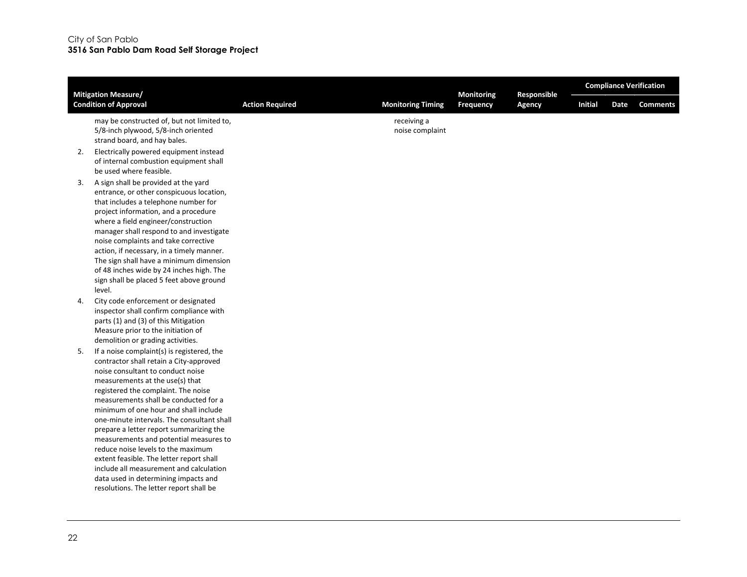| <b>Mitigation Measure/</b>   |                                                                                                                                                                                                                                                                                                                                                                                                                                                                                                                                                                                                                                           |                        |                                | <b>Monitoring</b> | Responsible | <b>Compliance Verification</b> |      |                 |  |  |
|------------------------------|-------------------------------------------------------------------------------------------------------------------------------------------------------------------------------------------------------------------------------------------------------------------------------------------------------------------------------------------------------------------------------------------------------------------------------------------------------------------------------------------------------------------------------------------------------------------------------------------------------------------------------------------|------------------------|--------------------------------|-------------------|-------------|--------------------------------|------|-----------------|--|--|
| <b>Condition of Approval</b> |                                                                                                                                                                                                                                                                                                                                                                                                                                                                                                                                                                                                                                           | <b>Action Required</b> | <b>Monitoring Timing</b>       | Frequency         | Agency      | <b>Initial</b>                 | Date | <b>Comments</b> |  |  |
|                              | may be constructed of, but not limited to,<br>5/8-inch plywood, 5/8-inch oriented<br>strand board, and hay bales.                                                                                                                                                                                                                                                                                                                                                                                                                                                                                                                         |                        | receiving a<br>noise complaint |                   |             |                                |      |                 |  |  |
| 2.                           | Electrically powered equipment instead<br>of internal combustion equipment shall<br>be used where feasible.                                                                                                                                                                                                                                                                                                                                                                                                                                                                                                                               |                        |                                |                   |             |                                |      |                 |  |  |
| 3.<br>level.                 | A sign shall be provided at the yard<br>entrance, or other conspicuous location,<br>that includes a telephone number for<br>project information, and a procedure<br>where a field engineer/construction<br>manager shall respond to and investigate<br>noise complaints and take corrective<br>action, if necessary, in a timely manner.<br>The sign shall have a minimum dimension<br>of 48 inches wide by 24 inches high. The<br>sign shall be placed 5 feet above ground                                                                                                                                                               |                        |                                |                   |             |                                |      |                 |  |  |
| 4.                           | City code enforcement or designated<br>inspector shall confirm compliance with<br>parts (1) and (3) of this Mitigation<br>Measure prior to the initiation of<br>demolition or grading activities.                                                                                                                                                                                                                                                                                                                                                                                                                                         |                        |                                |                   |             |                                |      |                 |  |  |
| 5.                           | If a noise complaint(s) is registered, the<br>contractor shall retain a City-approved<br>noise consultant to conduct noise<br>measurements at the use(s) that<br>registered the complaint. The noise<br>measurements shall be conducted for a<br>minimum of one hour and shall include<br>one-minute intervals. The consultant shall<br>prepare a letter report summarizing the<br>measurements and potential measures to<br>reduce noise levels to the maximum<br>extent feasible. The letter report shall<br>include all measurement and calculation<br>data used in determining impacts and<br>resolutions. The letter report shall be |                        |                                |                   |             |                                |      |                 |  |  |